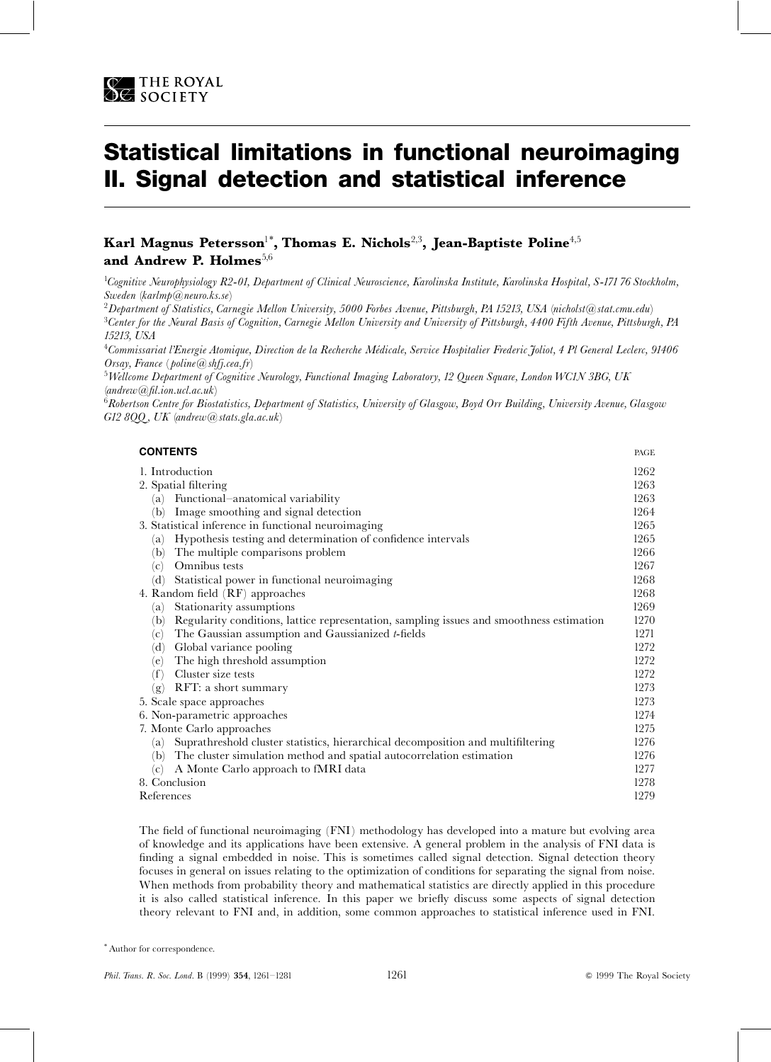# **Statistical limitations in functional neuroimaging** II. Signal detection and statistical inference

# Karl Magnus Petersson<sup>1\*</sup>, Thomas E. Nichols<sup>2,3</sup>, Jean-Baptiste Poline<sup>4,5</sup> and Andrew P. Holmes<sup>5,6</sup>

<sup>1</sup>Cognitive Neurophysiology R2-01, Department of Clinical Neuroscience, Karolinska Institute, Karolinska Hospital, S-171 76 Stockholm, Sweden  $(karlmb@newo.ks.se)$ 

<sup>2</sup>Department of Statistics, Carnegie Mellon University, 5000 Forbes Avenue, Pittsburgh, PA 15213, USA (nicholst@stat.cmu.edu) <sup>3</sup>Center for the Neural Basis of Cognition, Carnegie Mellon University and University of Pittsburgh, 4400 Fifth Avenue, Pittsburgh, PA 15213, USA

<sup>4</sup>Commissariat l'Energie Atomique, Direction de la Recherche Médicale, Service Hospitalier Frederic Joliot, 4 Pl General Leclerc, 91406 Orsay, France (poline  $\omega$ shfj.cea.fr)

<sup>5</sup>Wellcome Department of Cognitive Neurology, Functional Imaging Laboratory, 12 Queen Square, London WC1N 3BG, UK  $\langle and \mathit{rew}(\alpha) \mathit{fil.ion.} ucl. \mathit{ac.uk} \rangle$ 

<sup>6</sup>Robertson Centre for Biostatistics, Department of Statistics, University of Glasgow, Boyd Orr Building, University Avenue, Glasgow G12 8QQ, UK  $\langle and \text{rew}(\text{a})$ stats.gla.ac.uk)

| <b>CONTENTS</b>                                                                                 | PAGE |
|-------------------------------------------------------------------------------------------------|------|
| 1. Introduction                                                                                 | 1262 |
| 2. Spatial filtering                                                                            | 1263 |
| Functional-anatomical variability<br>(a)                                                        | 1263 |
| Image smoothing and signal detection<br>(b)                                                     | 1264 |
| 3. Statistical inference in functional neuroimaging                                             | 1265 |
| Hypothesis testing and determination of confidence intervals<br>(a)                             | 1265 |
| The multiple comparisons problem<br>(b)                                                         | 1266 |
| Omnibus tests<br>(c)                                                                            | 1267 |
| $(\mathrm{d})$<br>Statistical power in functional neuroimaging                                  | 1268 |
| 4. Random field (RF) approaches                                                                 | 1268 |
| Stationarity assumptions<br>(a)                                                                 | 1269 |
| Regularity conditions, lattice representation, sampling issues and smoothness estimation<br>(b) | 1270 |
| The Gaussian assumption and Gaussianized t-fields<br>(c)                                        | 1271 |
| Global variance pooling<br>(d)                                                                  | 1272 |
| The high threshold assumption<br>(e)                                                            | 1272 |
| Cluster size tests<br>(f)                                                                       | 1272 |
| RFT: a short summary<br>$\left( \mathbf{g}\right)$                                              | 1273 |
| 5. Scale space approaches                                                                       | 1273 |
| 6. Non-parametric approaches                                                                    | 1274 |
| 7. Monte Carlo approaches                                                                       | 1275 |
| Suprathreshold cluster statistics, hierarchical decomposition and multifiltering<br>(a)         | 1276 |
| The cluster simulation method and spatial autocorrelation estimation<br>(b)                     | 1276 |
| A Monte Carlo approach to fMRI data<br>(c)                                                      | 1277 |
| 8. Conclusion                                                                                   | 1278 |
| References                                                                                      | 1279 |
|                                                                                                 |      |

The field of functional neuroimaging (FNI) methodology has developed into a mature but evolving area of knowledge and its applications have been extensive. A general problem in the analysis of FNI data is finding a signal embedded in noise. This is sometimes called signal detection. Signal detection theory focuses in general on issues relating to the optimization of conditions for separating the signal from noise. When methods from probability theory and mathematical statistics are directly applied in this procedure it is also called statistical inference. In this paper we briefly discuss some aspects of signal detection theory relevant to FNI and, in addition, some common approaches to statistical inference used in FNI.

<sup>\*</sup>Author for correspondence.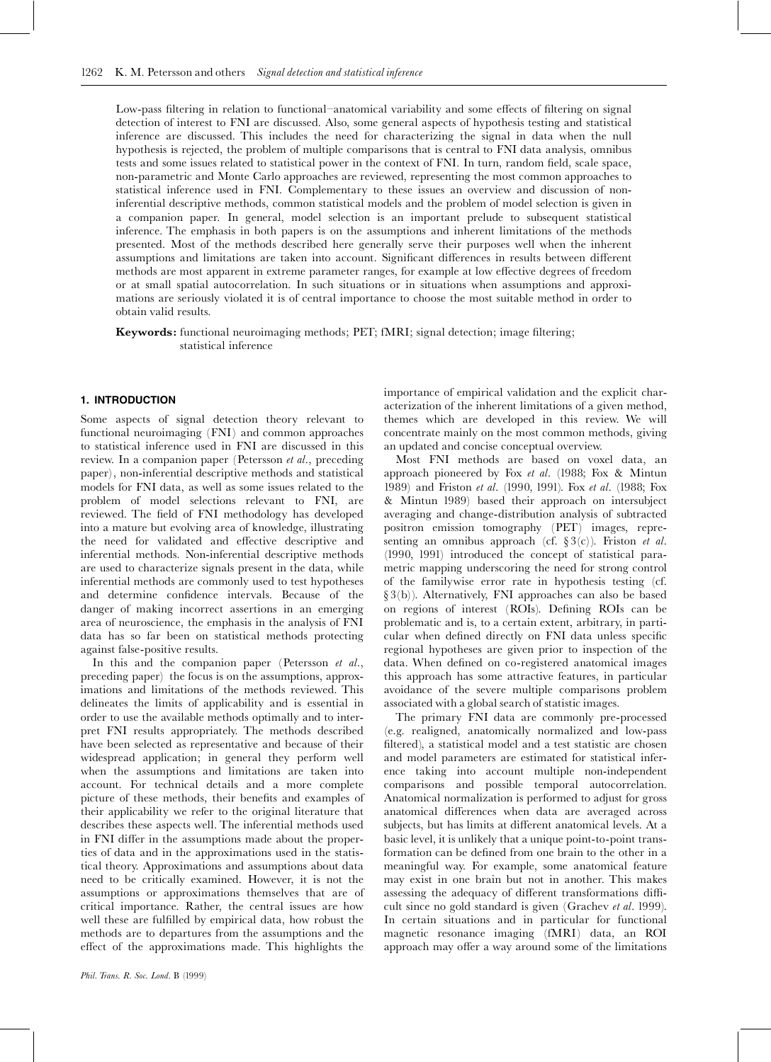Low-pass filtering in relation to functional–anatomical variability and some effects of filtering on signal detection of interest to FNI are discussed. Also, some general aspects of hypothesis testing and statistical inference are discussed. This includes the need for characterizing the signal in data when the null hypothesis is rejected, the problem of multiple comparisons that is central to FNI data analysis, omnibus tests and some issues related to statistical power in the context of FNI. In turn, random field, scale space, non-parametric and Monte Carlo approaches are reviewed, representing the most common approaches to statistical inference used in FNI. Complementary to these issues an overview and discussion of noninferential descriptive methods, common statistical models and the problem of model selection is given in a companion paper. In general, model selection is an important prelude to subsequent statistical inference. The emphasis in both papers is on the assumptions and inherent limitations of the methods presented. Most of the methods described here generally serve their purposes well when the inherent assumptions and limitations are taken into account. Significant differences in results between different methods are most apparent in extreme parameter ranges, for example at low effective degrees of freedom or at small spatial autocorrelation. In such situations or in situations when assumptions and approximations are seriously violated it is of central importance to choose the most suitable method in order to obtain valid results.

**Keywords:** functional neuroimaging methods; PET; fMRI; signal detection; image filtering; statistical inference

# 1. INTRODUCTION

Some aspects of signal detection theory relevant to functional neuroimaging (FNI) and common approaches to statistical inference used in FNI are discussed in this review. In a companion paper (Petersson et al., preceding paper), non-inferential descriptive methods and statistical models for FNI data, as well as some issues related to the problem of model selections relevant to FNI, are reviewed. The field of FNI methodology has developed into a mature but evolving area of knowledge, illustrating the need for validated and effective descriptive and inferential methods. Non-inferential descriptive methods are used to characterize signals present in the data, while inferential methods are commonly used to test hypotheses and determine confidence intervals. Because of the danger of making incorrect assertions in an emerging area of neuroscience, the emphasis in the analysis of FNI data has so far been on statistical methods protecting against false-positive results.

In this and the companion paper (Petersson *et al.*, preceding paper) the focus is on the assumptions, approximations and limitations of the methods reviewed. This delineates the limits of applicability and is essential in order to use the available methods optimally and to interpret FNI results appropriately. The methods described have been selected as representative and because of their widespread application; in general they perform well when the assumptions and limitations are taken into account. For technical details and a more complete picture of these methods, their benefits and examples of their applicability we refer to the original literature that describes these aspects well. The inferential methods used in FNI differ in the assumptions made about the properties of data and in the approximations used in the statistical theory. Approximations and assumptions about data need to be critically examined. However, it is not the assumptions or approximations themselves that are of critical importance. Rather, the central issues are how well these are fulfilled by empirical data, how robust the methods are to departures from the assumptions and the effect of the approximations made. This highlights the

importance of empirical validation and the explicit characterization of the inherent limitations of a given method, themes which are developed in this review. We will concentrate mainly on the most common methods, giving an updated and concise conceptual overview.

Most FNI methods are based on voxel data, an approach pioneered by Fox et al. (1988; Fox & Mintun 1989) and Friston et al. (1990, 1991). Fox et al. (1988; Fox & Mintun 1989) based their approach on intersubject averaging and change-distribution analysis of subtracted positron emission tomography (PET) images, representing an omnibus approach (cf.  $\S 3(c)$ ). Friston et al. (1990, 1991) introduced the concept of statistical parametric mapping underscoring the need for strong control of the familywise error rate in hypothesis testing (cf. §3(b)). Alternatively, FNI approaches can also be based on regions of interest (ROIs). Defining ROIs can be problematic and is, to a certain extent, arbitrary, in particular when defined directly on FNI data unless specific regional hypotheses are given prior to inspection of the data. When defined on co-registered anatomical images this approach has some attractive features, in particular avoidance of the severe multiple comparisons problem associated with a global search of statistic images.

The primary FNI data are commonly pre-processed (e.g. realigned, anatomically normalized and low-pass filtered), a statistical model and a test statistic are chosen and model parameters are estimated for statistical inference taking into account multiple non-independent comparisons and possible temporal autocorrelation. Anatomical normalization is performed to adjust for gross anatomical differences when data are averaged across subjects, but has limits at different anatomical levels. At a basic level, it is unlikely that a unique point-to-point transformation can be defined from one brain to the other in a meaningful way. For example, some anatomical feature may exist in one brain but not in another. This makes assessing the adequacy of different transformations difficult since no gold standard is given (Grachev et al. 1999). In certain situations and in particular for functional magnetic resonance imaging (fMRI) data, an ROI approach may offer a way around some of the limitations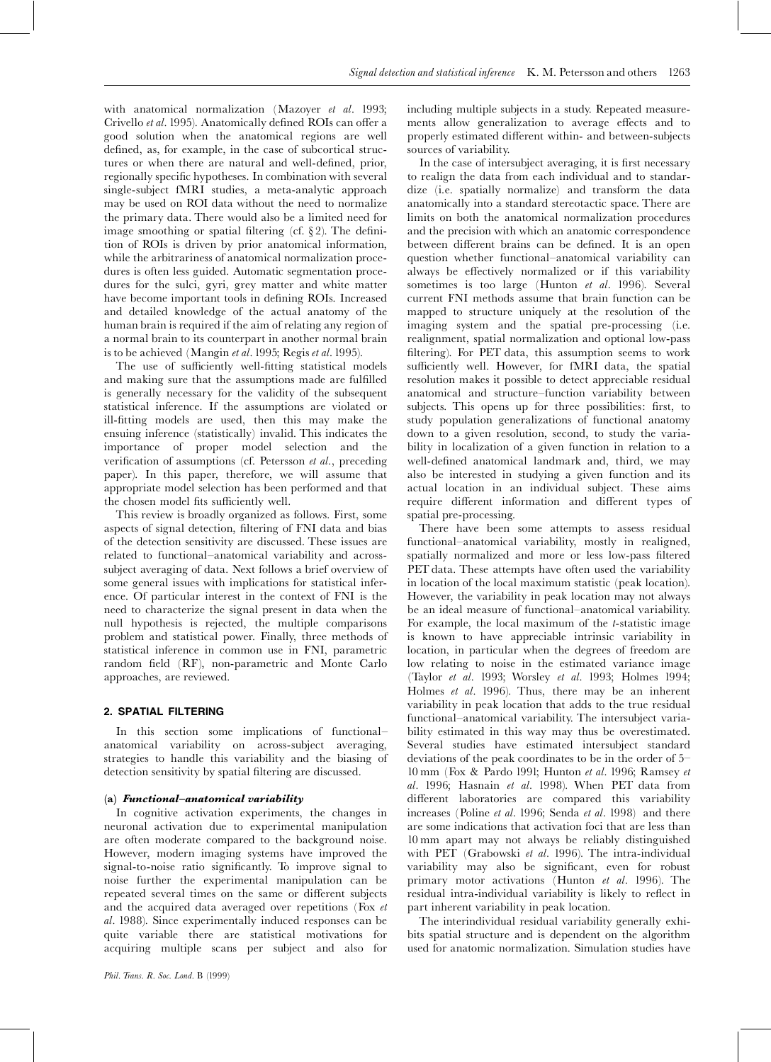with anatomical normalization (Mazoyer et al. 1993; Crivello et al. 1995). Anatomically defined ROIs can offer a good solution when the anatomical regions are well defined, as, for example, in the case of subcortical structures or when there are natural and well-defined, prior, regionally specific hypotheses. In combination with several single-subject fMRI studies, a meta-analytic approach may be used on ROI data without the need to normalize the primary data. There would also be a limited need for image smoothing or spatial filtering (cf.  $\S 2$ ). The definition of ROIs is driven by prior anatomical information, while the arbitrariness of anatomical normalization procedures is often less guided. Automatic segmentation procedures for the sulci, gyri, grey matter and white matter have become important tools in defining ROIs. Increased and detailed knowledge of the actual anatomy of the human brain is required if the aim of relating any region of a normal brain to its counterpart in another normal brain is to be achieved (Mangin et al. 1995; Regis et al. 1995).

The use of sufficiently well-fitting statistical models and making sure that the assumptions made are fulfilled is generally necessary for the validity of the subsequent statistical inference. If the assumptions are violated or ill-fitting models are used, then this may make the ensuing inference (statistically) invalid. This indicates the importance of proper model selection and the verification of assumptions (cf. Petersson et al., preceding paper). In this paper, therefore, we will assume that appropriate model selection has been performed and that the chosen model fits sufficiently well.

This review is broadly organized as follows. First, some aspects of signal detection, filtering of FNI data and bias of the detection sensitivity are discussed. These issues are related to functional-anatomical variability and acrosssubject averaging of data. Next follows a brief overview of some general issues with implications for statistical inference. Of particular interest in the context of FNI is the need to characterize the signal present in data when the null hypothesis is rejected, the multiple comparisons problem and statistical power. Finally, three methods of statistical inference in common use in FNI, parametric random field (RF), non-parametric and Monte Carlo approaches, are reviewed.

# 2. SPATIAL FILTERING

In this section some implications of functionalanatomical variability on across-subject averaging, strategies to handle this variability and the biasing of detection sensitivity by spatial filtering are discussed.

#### (a) Functional-anatomical variability

In cognitive activation experiments, the changes in neuronal activation due to experimental manipulation are often moderate compared to the background noise. However, modern imaging systems have improved the signal-to-noise ratio significantly. To improve signal to noise further the experimental manipulation can be repeated several times on the same or different subjects and the acquired data averaged over repetitions (Fox et al. 1988). Since experimentally induced responses can be quite variable there are statistical motivations for acquiring multiple scans per subject and also for

including multiple subjects in a study. Repeated measurements allow generalization to average effects and to properly estimated different within- and between-subjects sources of variability.

In the case of intersubject averaging, it is first necessary to realign the data from each individual and to standardize (i.e. spatially normalize) and transform the data anatomically into a standard stereotactic space. There are limits on both the anatomical normalization procedures and the precision with which an anatomic correspondence between different brains can be defined. It is an open question whether functional-anatomical variability can always be effectively normalized or if this variability sometimes is too large (Hunton et al. 1996). Several current FNI methods assume that brain function can be mapped to structure uniquely at the resolution of the imaging system and the spatial pre-processing (i.e. realignment, spatial normalization and optional low-pass filtering). For PET data, this assumption seems to work sufficiently well. However, for fMRI data, the spatial resolution makes it possible to detect appreciable residual anatomical and structure-function variability between subjects. This opens up for three possibilities: first, to study population generalizations of functional anatomy down to a given resolution, second, to study the variability in localization of a given function in relation to a well-defined anatomical landmark and, third, we may also be interested in studying a given function and its actual location in an individual subject. These aims require different information and different types of spatial pre-processing.

There have been some attempts to assess residual functional-anatomical variability, mostly in realigned, spatially normalized and more or less low-pass filtered PET data. These attempts have often used the variability in location of the local maximum statistic (peak location). However, the variability in peak location may not always be an ideal measure of functional-anatomical variability. For example, the local maximum of the *t*-statistic image is known to have appreciable intrinsic variability in location, in particular when the degrees of freedom are low relating to noise in the estimated variance image (Taylor et al. 1993; Worsley et al. 1993; Holmes 1994; Holmes et al. 1996). Thus, there may be an inherent variability in peak location that adds to the true residual functional-anatomical variability. The intersubject variability estimated in this way may thus be overestimated. Several studies have estimated intersubject standard deviations of the peak coordinates to be in the order of 5-10 mm (Fox & Pardo 1991; Hunton et al. 1996; Ramsey et al. 1996; Hasnain et al. 1998). When PET data from different laboratories are compared this variability increases (Poline et al. 1996; Senda et al. 1998) and there are some indications that activation foci that are less than 10 mm apart may not always be reliably distinguished with PET (Grabowski et al. 1996). The intra-individual variability may also be significant, even for robust primary motor activations (Hunton et al. 1996). The residual intra-individual variability is likely to reflect in part inherent variability in peak location.

The interindividual residual variability generally exhibits spatial structure and is dependent on the algorithm used for anatomic normalization. Simulation studies have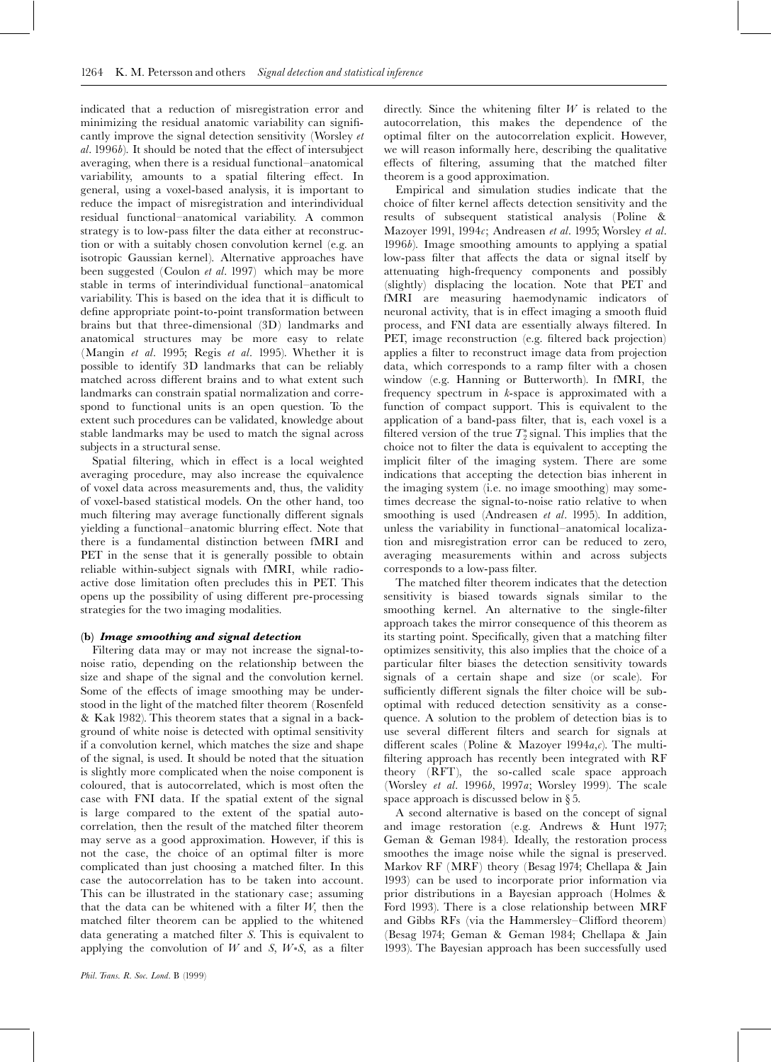indicated that a reduction of misregistration error and minimizing the residual anatomic variability can significantly improve the signal detection sensitivity (Worsley et al. 1996b). It should be noted that the effect of intersubject averaging, when there is a residual functional-anatomical variability, amounts to a spatial filtering effect. In general, using a voxel-based analysis, it is important to reduce the impact of misregistration and interindividual residual functional-anatomical variability. A common strategy is to low-pass filter the data either at reconstruction or with a suitably chosen convolution kernel (e.g. an isotropic Gaussian kernel). Alternative approaches have been suggested (Coulon *et al.* 1997) which may be more stable in terms of interindividual functional-anatomical variability. This is based on the idea that it is difficult to define appropriate point-to-point transformation between brains but that three-dimensional (3D) landmarks and anatomical structures may be more easy to relate (Mangin et al. 1995; Regis et al. 1995). Whether it is possible to identify 3D landmarks that can be reliably matched across different brains and to what extent such landmarks can constrain spatial normalization and correspond to functional units is an open question. To the extent such procedures can be validated, knowledge about stable landmarks may be used to match the signal across subjects in a structural sense.

Spatial filtering, which in effect is a local weighted averaging procedure, may also increase the equivalence of voxel data across measurements and, thus, the validity of voxel-based statistical models. On the other hand, too much filtering may average functionally different signals yielding a functional-anatomic blurring effect. Note that there is a fundamental distinction between fMRI and PET in the sense that it is generally possible to obtain reliable within-subject signals with fMRI, while radioactive dose limitation often precludes this in PET. This opens up the possibility of using different pre-processing strategies for the two imaging modalities.

#### (b) Image smoothing and signal detection

Filtering data may or may not increase the signal-tonoise ratio, depending on the relationship between the size and shape of the signal and the convolution kernel. Some of the effects of image smoothing may be understood in the light of the matched filter theorem (Rosenfeld & Kak 1982). This theorem states that a signal in a background of white noise is detected with optimal sensitivity if a convolution kernel, which matches the size and shape of the signal, is used. It should be noted that the situation is slightly more complicated when the noise component is coloured, that is autocorrelated, which is most often the case with FNI data. If the spatial extent of the signal is large compared to the extent of the spatial autocorrelation, then the result of the matched filter theorem may serve as a good approximation. However, if this is not the case, the choice of an optimal filter is more complicated than just choosing a matched filter. In this case the autocorrelation has to be taken into account. This can be illustrated in the stationary case; assuming that the data can be whitened with a filter  $W$ , then the matched filter theorem can be applied to the whitened data generating a matched filter S. This is equivalent to applying the convolution of W and S,  $W*S$ , as a filter directly. Since the whitening filter  $W$  is related to the autocorrelation, this makes the dependence of the optimal filter on the autocorrelation explicit. However, we will reason informally here, describing the qualitative effects of filtering, assuming that the matched filter theorem is a good approximation.

Empirical and simulation studies indicate that the choice of filter kernel affects detection sensitivity and the results of subsequent statistical analysis (Poline & Mazoyer 1991, 1994c; Andreasen et al. 1995; Worsley et al.  $1996b$ ). Image smoothing amounts to applying a spatial low-pass filter that affects the data or signal itself by attenuating high-frequency components and possibly (slightly) displacing the location. Note that PET and fMRI are measuring haemodynamic indicators of neuronal activity, that is in effect imaging a smooth fluid process, and FNI data are essentially always filtered. In PET, image reconstruction (e.g. filtered back projection) applies a filter to reconstruct image data from projection data, which corresponds to a ramp filter with a chosen window (e.g. Hanning or Butterworth). In fMRI, the frequency spectrum in  $k$ -space is approximated with a function of compact support. This is equivalent to the application of a band-pass filter, that is, each voxel is a filtered version of the true  $T_2^*$  signal. This implies that the choice not to filter the data is equivalent to accepting the implicit filter of the imaging system. There are some indications that accepting the detection bias inherent in the imaging system (i.e. no image smoothing) may sometimes decrease the signal-to-noise ratio relative to when smoothing is used (Andreasen et al. 1995). In addition, unless the variability in functional-anatomical localization and misregistration error can be reduced to zero, averaging measurements within and across subjects corresponds to a low-pass filter.

The matched filter theorem indicates that the detection sensitivity is biased towards signals similar to the smoothing kernel. An alternative to the single-filter approach takes the mirror consequence of this theorem as its starting point. Specifically, given that a matching filter optimizes sensitivity, this also implies that the choice of a particular filter biases the detection sensitivity towards signals of a certain shape and size (or scale). For sufficiently different signals the filter choice will be suboptimal with reduced detection sensitivity as a consequence. A solution to the problem of detection bias is to use several different filters and search for signals at different scales (Poline & Mazoyer 1994 $a,c$ ). The multifiltering approach has recently been integrated with RF theory (RFT), the so-called scale space approach (Worsley et al. 1996b, 1997a; Worsley 1999). The scale space approach is discussed below in  $\S 5$ .

A second alternative is based on the concept of signal and image restoration (e.g. Andrews & Hunt 1977; Geman & Geman 1984). Ideally, the restoration process smoothes the image noise while the signal is preserved. Markov RF (MRF) theory (Besag 1974; Chellapa & Jain 1993) can be used to incorporate prior information via prior distributions in a Bayesian approach (Holmes & Ford 1993). There is a close relationship between MRF and Gibbs RFs (via the Hammersley-Clifford theorem) (Besag 1974; Geman & Geman 1984; Chellapa & Jain 1993). The Bayesian approach has been successfully used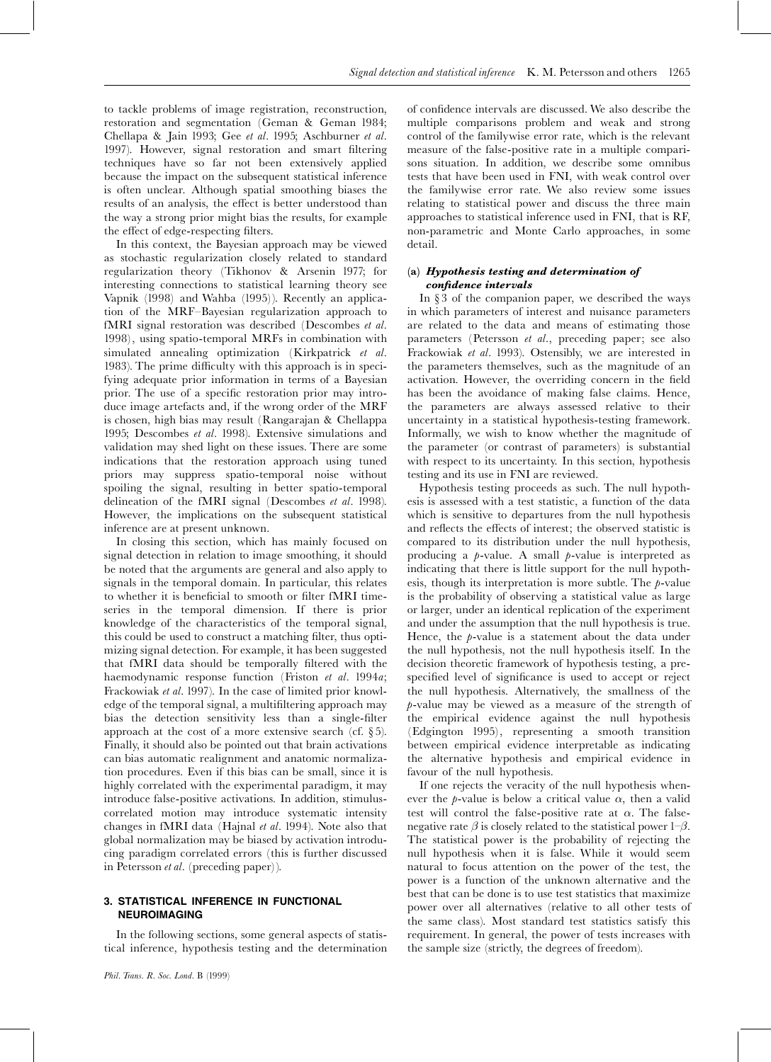to tackle problems of image registration, reconstruction, restoration and segmentation (Geman & Geman 1984; Chellapa & Jain 1993; Gee et al. 1995; Aschburner et al. 1997). However, signal restoration and smart filtering techniques have so far not been extensively applied because the impact on the subsequent statistical inference is often unclear. Although spatial smoothing biases the results of an analysis, the effect is better understood than the way a strong prior might bias the results, for example the effect of edge-respecting filters.

In this context, the Bayesian approach may be viewed as stochastic regularization closely related to standard regularization theory (Tikhonov & Arsenin 1977; for interesting connections to statistical learning theory see Vapnik (1998) and Wahba (1995)). Recently an application of the MRF-Bayesian regularization approach to fMRI signal restoration was described (Descombes et al. 1998), using spatio-temporal MRFs in combination with simulated annealing optimization (Kirkpatrick et al. 1983). The prime difficulty with this approach is in specifying adequate prior information in terms of a Bayesian prior. The use of a specific restoration prior may introduce image artefacts and, if the wrong order of the MRF is chosen, high bias may result (Rangarajan & Chellappa 1995; Descombes et al. 1998). Extensive simulations and validation may shed light on these issues. There are some indications that the restoration approach using tuned priors may suppress spatio-temporal noise without spoiling the signal, resulting in better spatio-temporal delineation of the fMRI signal (Descombes et al. 1998). However, the implications on the subsequent statistical inference are at present unknown.

In closing this section, which has mainly focused on signal detection in relation to image smoothing, it should be noted that the arguments are general and also apply to signals in the temporal domain. In particular, this relates to whether it is beneficial to smooth or filter fMRI timeseries in the temporal dimension. If there is prior knowledge of the characteristics of the temporal signal, this could be used to construct a matching filter, thus optimizing signal detection. For example, it has been suggested that fMRI data should be temporally filtered with the haemodynamic response function (Friston et al. 1994a; Frackowiak et al. 1997). In the case of limited prior knowledge of the temporal signal, a multifiltering approach may bias the detection sensitivity less than a single-filter approach at the cost of a more extensive search (cf.  $\S 5$ ). Finally, it should also be pointed out that brain activations can bias automatic realignment and anatomic normalization procedures. Even if this bias can be small, since it is highly correlated with the experimental paradigm, it may introduce false-positive activations. In addition, stimuluscorrelated motion may introduce systematic intensity changes in fMRI data (Hajnal et al. 1994). Note also that global normalization may be biased by activation introducing paradigm correlated errors (this is further discussed in Petersson *et al.* (preceding paper)).

# 3. STATISTICAL INFERENCE IN FUNCTIONAL **NEUROIMAGING**

In the following sections, some general aspects of statistical inference, hypothesis testing and the determination of confidence intervals are discussed. We also describe the multiple comparisons problem and weak and strong control of the familywise error rate, which is the relevant measure of the false-positive rate in a multiple comparisons situation. In addition, we describe some omnibus tests that have been used in FNI, with weak control over the familywise error rate. We also review some issues relating to statistical power and discuss the three main approaches to statistical inference used in FNI, that is RF, non-parametric and Monte Carlo approaches, in some detail

#### (a) Hypothesis testing and determination of confidence intervals

In  $\S 3$  of the companion paper, we described the ways in which parameters of interest and nuisance parameters are related to the data and means of estimating those parameters (Petersson et al., preceding paper; see also Frackowiak et al. 1993). Ostensibly, we are interested in the parameters themselves, such as the magnitude of an activation. However, the overriding concern in the field has been the avoidance of making false claims. Hence, the parameters are always assessed relative to their uncertainty in a statistical hypothesis-testing framework. Informally, we wish to know whether the magnitude of the parameter (or contrast of parameters) is substantial with respect to its uncertainty. In this section, hypothesis testing and its use in FNI are reviewed.

Hypothesis testing proceeds as such. The null hypothesis is assessed with a test statistic, a function of the data which is sensitive to departures from the null hypothesis and reflects the effects of interest; the observed statistic is compared to its distribution under the null hypothesis, producing a  $p$ -value. A small  $p$ -value is interpreted as indicating that there is little support for the null hypothesis, though its interpretation is more subtle. The  $p$ -value is the probability of observing a statistical value as large or larger, under an identical replication of the experiment and under the assumption that the null hypothesis is true. Hence, the  $p$ -value is a statement about the data under the null hypothesis, not the null hypothesis itself. In the decision theoretic framework of hypothesis testing, a prespecified level of significance is used to accept or reject the null hypothesis. Alternatively, the smallness of the  $p$ -value may be viewed as a measure of the strength of the empirical evidence against the null hypothesis (Edgington 1995), representing a smooth transition between empirical evidence interpretable as indicating the alternative hypothesis and empirical evidence in favour of the null hypothesis.

If one rejects the veracity of the null hypothesis whenever the  $p$ -value is below a critical value  $\alpha$ , then a valid test will control the false-positive rate at  $\alpha$ . The falsenegative rate  $\beta$  is closely related to the statistical power  $1-\beta$ . The statistical power is the probability of rejecting the null hypothesis when it is false. While it would seem natural to focus attention on the power of the test, the power is a function of the unknown alternative and the best that can be done is to use test statistics that maximize power over all alternatives (relative to all other tests of the same class). Most standard test statistics satisfy this requirement. In general, the power of tests increases with the sample size (strictly, the degrees of freedom).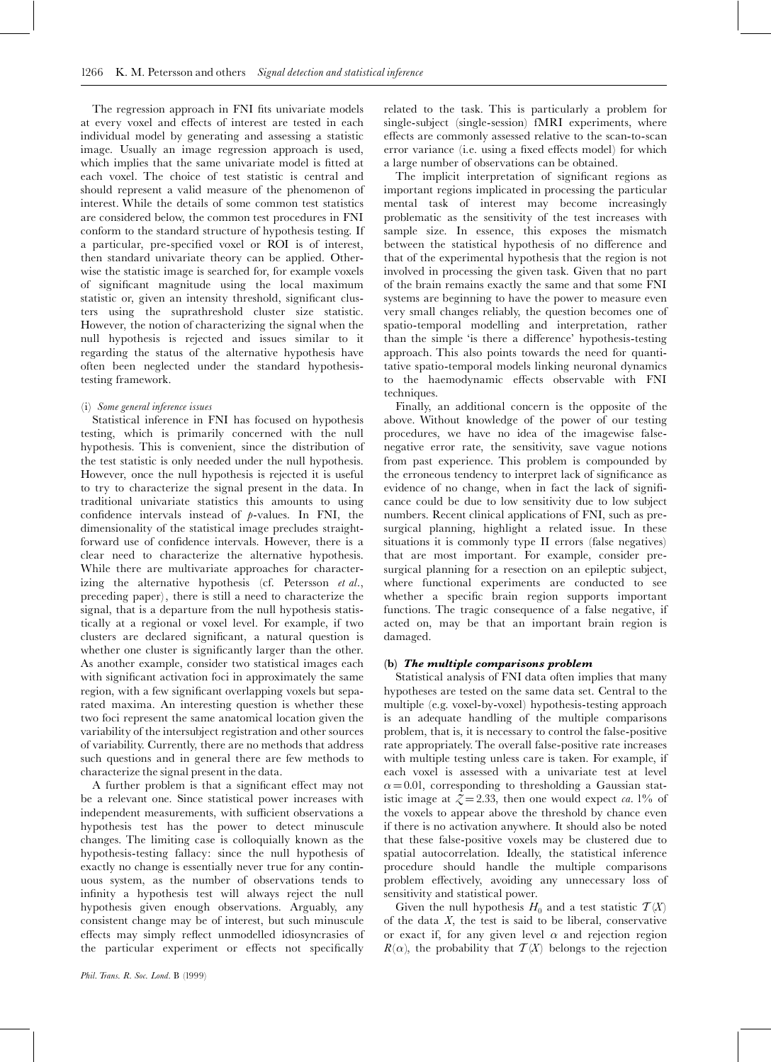The regression approach in FNI fits univariate models at every voxel and effects of interest are tested in each individual model by generating and assessing a statistic image. Usually an image regression approach is used, which implies that the same univariate model is fitted at each voxel. The choice of test statistic is central and should represent a valid measure of the phenomenon of interest. While the details of some common test statistics are considered below, the common test procedures in FNI conform to the standard structure of hypothesis testing. If a particular, pre-specified voxel or ROI is of interest, then standard univariate theory can be applied. Otherwise the statistic image is searched for, for example voxels of significant magnitude using the local maximum statistic or, given an intensity threshold, significant clusters using the suprathreshold cluster size statistic. However, the notion of characterizing the signal when the null hypothesis is rejected and issues similar to it regarding the status of the alternative hypothesis have often been neglected under the standard hypothesistesting framework.

#### (i) Some general inference issues

Statistical inference in FNI has focused on hypothesis testing, which is primarily concerned with the null hypothesis. This is convenient, since the distribution of the test statistic is only needed under the null hypothesis. However, once the null hypothesis is rejected it is useful to try to characterize the signal present in the data. In traditional univariate statistics this amounts to using confidence intervals instead of  $p$ -values. In FNI, the dimensionality of the statistical image precludes straightforward use of confidence intervals. However, there is a clear need to characterize the alternative hypothesis. While there are multivariate approaches for characterizing the alternative hypothesis (cf. Petersson et al., preceding paper), there is still a need to characterize the signal, that is a departure from the null hypothesis statistically at a regional or voxel level. For example, if two clusters are declared significant, a natural question is whether one cluster is significantly larger than the other. As another example, consider two statistical images each with significant activation foci in approximately the same region, with a few significant overlapping voxels but separated maxima. An interesting question is whether these two foci represent the same anatomical location given the variability of the intersubject registration and other sources of variability. Currently, there are no methods that address such questions and in general there are few methods to characterize the signal present in the data.

A further problem is that a significant effect may not be a relevant one. Since statistical power increases with independent measurements, with sufficient observations a hypothesis test has the power to detect minuscule changes. The limiting case is colloquially known as the hypothesis-testing fallacy: since the null hypothesis of exactly no change is essentially never true for any continuous system, as the number of observations tends to infinity a hypothesis test will always reject the null hypothesis given enough observations. Arguably, any consistent change may be of interest, but such minuscule effects may simply reflect unmodelled idiosyncrasies of the particular experiment or effects not specifically

The implicit interpretation of significant regions as important regions implicated in processing the particular mental task of interest may become increasingly problematic as the sensitivity of the test increases with sample size. In essence, this exposes the mismatch between the statistical hypothesis of no difference and that of the experimental hypothesis that the region is not involved in processing the given task. Given that no part of the brain remains exactly the same and that some FNI systems are beginning to have the power to measure even very small changes reliably, the question becomes one of spatio-temporal modelling and interpretation, rather than the simple 'is there a difference' hypothesis-testing approach. This also points towards the need for quantitative spatio-temporal models linking neuronal dynamics to the haemodynamic effects observable with FNI techniques.

Finally, an additional concern is the opposite of the above. Without knowledge of the power of our testing procedures, we have no idea of the imagewise falsenegative error rate, the sensitivity, save vague notions from past experience. This problem is compounded by the erroneous tendency to interpret lack of significance as evidence of no change, when in fact the lack of significance could be due to low sensitivity due to low subject numbers. Recent clinical applications of FNI, such as presurgical planning, highlight a related issue. In these situations it is commonly type II errors (false negatives) that are most important. For example, consider presurgical planning for a resection on an epileptic subject, where functional experiments are conducted to see whether a specific brain region supports important functions. The tragic consequence of a false negative, if acted on, may be that an important brain region is damaged.

#### (b) The multiple comparisons problem

Statistical analysis of FNI data often implies that many hypotheses are tested on the same data set. Central to the multiple (e.g. voxel-by-voxel) hypothesis-testing approach is an adequate handling of the multiple comparisons problem, that is, it is necessary to control the false-positive rate appropriately. The overall false-positive rate increases with multiple testing unless care is taken. For example, if each voxel is assessed with a univariate test at level  $\alpha = 0.01$ , corresponding to thresholding a Gaussian statistic image at  $\zeta = 2.33$ , then one would expect *ca*. 1% of the voxels to appear above the threshold by chance even if there is no activation anywhere. It should also be noted that these false-positive voxels may be clustered due to spatial autocorrelation. Ideally, the statistical inference procedure should handle the multiple comparisons problem effectively, avoiding any unnecessary loss of sensitivity and statistical power.

Given the null hypothesis  $H_0$  and a test statistic  $\mathcal{T}(X)$ of the data  $X$ , the test is said to be liberal, conservative or exact if, for any given level  $\alpha$  and rejection region  $R(\alpha)$ , the probability that  $\mathcal{T}(X)$  belongs to the rejection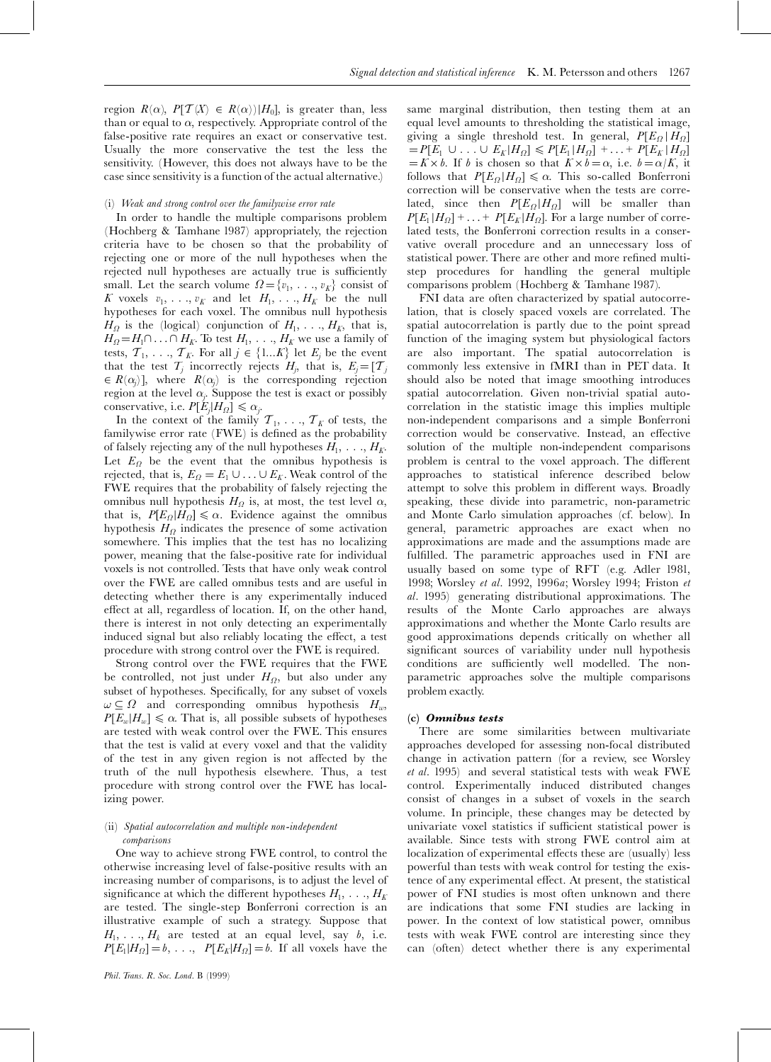region  $R(\alpha)$ ,  $P[T(X) \in R(\alpha)]|H_0$ , is greater than, less than or equal to  $\alpha$ , respectively. Appropriate control of the false-positive rate requires an exact or conservative test. Usually the more conservative the test the less the sensitivity. (However, this does not always have to be the case since sensitivity is a function of the actual alternative.)

#### (i) Weak and strong control over the familywise error rate

In order to handle the multiple comparisons problem (Hochberg & Tamhane 1987) appropriately, the rejection criteria have to be chosen so that the probability of rejecting one or more of the null hypotheses when the rejected null hypotheses are actually true is sufficiently small. Let the search volume  $\Omega = \{v_1, \ldots, v_K\}$  consist of K voxels  $v_1, \ldots, v_K$  and let  $H_1, \ldots, H_K$  be the null hypotheses for each voxel. The omnibus null hypothesis  $H_{\Omega}$  is the (logical) conjunction of  $H_1, \ldots, H_K$ , that is,  $H_{\Omega} = H_{1} \cap \ldots \cap H_{K}$ . To test  $H_{1}, \ldots, H_{K}$  we use a family of tests,  $\mathcal{T}_1, \ldots, \mathcal{T}_k$ . For all  $j \in \{1...K\}$  let  $E_j$  be the event that the test  $T_i$  incorrectly rejects  $H_i$ , that is,  $E_i = [T_i]$  $\in R(\alpha_j)$ , where  $R(\alpha_j)$  is the corresponding rejection region at the level  $\alpha_i$ . Suppose the test is exact or possibly conservative, i.e.  $P[E_i|H_{\Omega}] \leq \alpha_i$ .

In the context of the family  $\mathcal{T}_1, \ldots, \mathcal{T}_K$  of tests, the familywise error rate (FWE) is defined as the probability of falsely rejecting any of the null hypotheses  $H_1, \ldots, H_k$ . Let  $E_Q$  be the event that the omnibus hypothesis is rejected, that is,  $E_{\Omega} = E_1 \cup ... \cup E_K$ . Weak control of the FWE requires that the probability of falsely rejecting the omnibus null hypothesis  $H_{\Omega}$  is, at most, the test level  $\alpha$ , that is,  $P[E_{\Omega}|H_{\Omega}] \le \alpha$ . Evidence against the omnibus hypothesis  $H_{\Omega}$  indicates the presence of some activation somewhere. This implies that the test has no localizing power, meaning that the false-positive rate for individual voxels is not controlled. Tests that have only weak control over the FWE are called omnibus tests and are useful in detecting whether there is any experimentally induced effect at all, regardless of location. If, on the other hand, there is interest in not only detecting an experimentally induced signal but also reliably locating the effect, a test procedure with strong control over the FWE is required.

Strong control over the FWE requires that the FWE be controlled, not just under  $H_{\Omega}$ , but also under any subset of hypotheses. Specifically, for any subset of voxels  $\omega \subseteq \Omega$  and corresponding omnibus hypothesis  $H_w$ ,  $P[E_w|H_w] \le \alpha$ . That is, all possible subsets of hypotheses are tested with weak control over the FWE. This ensures that the test is valid at every voxel and that the validity of the test in any given region is not affected by the truth of the null hypothesis elsewhere. Thus, a test procedure with strong control over the FWE has localizing power.

#### (ii) Spatial autocorrelation and multiple non-independent comparisons

One way to achieve strong FWE control, to control the otherwise increasing level of false-positive results with an increasing number of comparisons, is to adjust the level of significance at which the different hypotheses  $H_1, \ldots, H_k$ are tested. The single-step Bonferroni correction is an illustrative example of such a strategy. Suppose that  $H_1, \ldots, H_k$  are tested at an equal level, say b, i.e.  $P[E_1|H_{\Omega}]=b, \ldots, P[E_K|H_{\Omega}]=b$ . If all voxels have the

same marginal distribution, then testing them at an equal level amounts to thresholding the statistical image, giving a single threshold test. In general,  $P[E_{\Omega}|H_{\Omega}]$  $= P[E_1 \cup ... \cup E_K | H_{\Omega}] \leq P[E_1 | H_{\Omega}] + ... + P[E_K | H_{\Omega}]$  $= K \times b$ . If b is chosen so that  $K \times b = \alpha$ , i.e.  $b = \alpha/K$ , it follows that  $P[E_{\Omega}|H_{\Omega}] \le \alpha$ . This so-called Bonferroni correction will be conservative when the tests are correlated, since then  $P[E_{\Omega}|H_{\Omega}]$  will be smaller than  $P[E_1|H_0] + ... + P[E_K|H_0]$ . For a large number of correlated tests, the Bonferroni correction results in a conservative overall procedure and an unnecessary loss of statistical power. There are other and more refined multistep procedures for handling the general multiple comparisons problem (Hochberg & Tamhane 1987).

FNI data are often characterized by spatial autocorrelation, that is closely spaced voxels are correlated. The spatial autocorrelation is partly due to the point spread function of the imaging system but physiological factors are also important. The spatial autocorrelation is commonly less extensive in fMRI than in PET data. It should also be noted that image smoothing introduces spatial autocorrelation. Given non-trivial spatial autocorrelation in the statistic image this implies multiple non-independent comparisons and a simple Bonferroni correction would be conservative. Instead, an effective solution of the multiple non-independent comparisons problem is central to the voxel approach. The different approaches to statistical inference described below attempt to solve this problem in different ways. Broadly speaking, these divide into parametric, non-parametric and Monte Carlo simulation approaches (cf. below). In general, parametric approaches are exact when no approximations are made and the assumptions made are fulfilled. The parametric approaches used in FNI are usually based on some type of RFT (e.g. Adler 1981, 1998; Worsley et al. 1992, 1996a; Worsley 1994; Friston et al. 1995) generating distributional approximations. The results of the Monte Carlo approaches are always approximations and whether the Monte Carlo results are good approximations depends critically on whether all significant sources of variability under null hypothesis conditions are sufficiently well modelled. The nonparametric approaches solve the multiple comparisons problem exactly.

#### $(c)$  Omnibus tests

There are some similarities between multivariate approaches developed for assessing non-focal distributed change in activation pattern (for a review, see Worsley et al. 1995) and several statistical tests with weak FWE control. Experimentally induced distributed changes consist of changes in a subset of voxels in the search volume. In principle, these changes may be detected by univariate voxel statistics if sufficient statistical power is available. Since tests with strong FWE control aim at localization of experimental effects these are (usually) less powerful than tests with weak control for testing the existence of any experimental effect. At present, the statistical power of FNI studies is most often unknown and there are indications that some FNI studies are lacking in power. In the context of low statistical power, omnibus tests with weak FWE control are interesting since they can (often) detect whether there is any experimental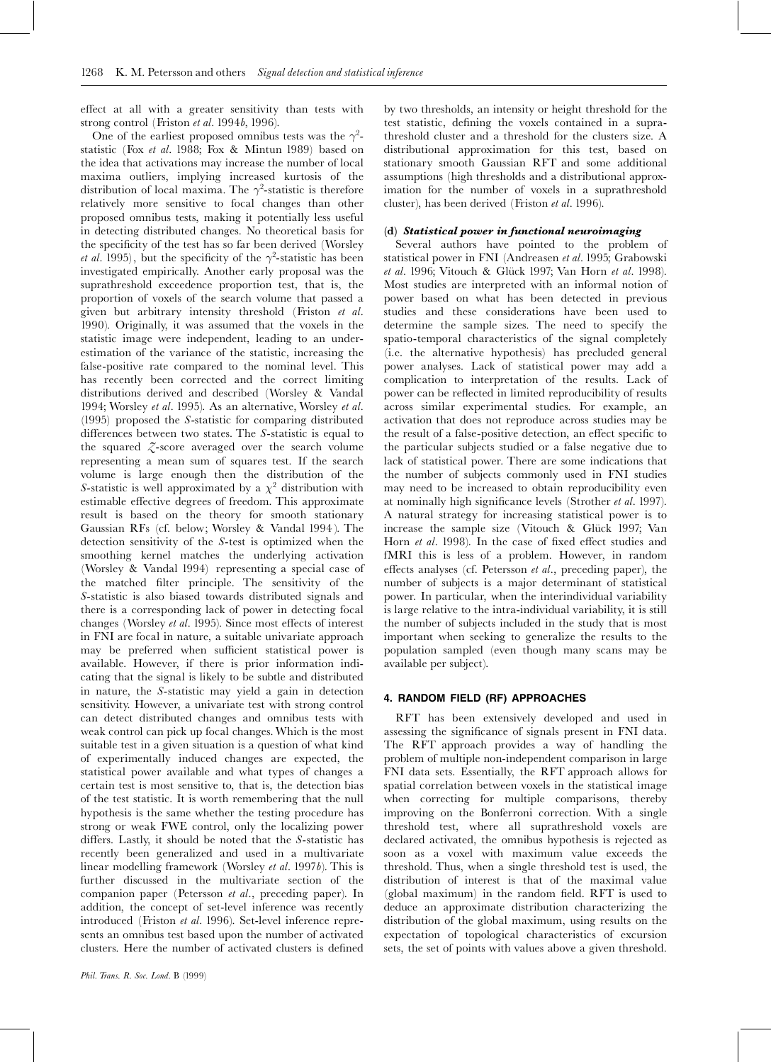effect at all with a greater sensitivity than tests with strong control (Friston et al. 1994b, 1996).

One of the earliest proposed omnibus tests was the  $\gamma^2$ statistic (Fox et al. 1988; Fox & Mintun 1989) based on the idea that activations may increase the number of local maxima outliers, implying increased kurtosis of the distribution of local maxima. The  $\gamma^2$ -statistic is therefore relatively more sensitive to focal changes than other proposed omnibus tests, making it potentially less useful in detecting distributed changes. No theoretical basis for the specificity of the test has so far been derived (Worsley *et al.* 1995), but the specificity of the  $\gamma^2$ -statistic has been investigated empirically. Another early proposal was the suprathreshold exceedence proportion test, that is, the proportion of voxels of the search volume that passed a given but arbitrary intensity threshold (Friston et al. 1990). Originally, it was assumed that the voxels in the statistic image were independent, leading to an underestimation of the variance of the statistic, increasing the false-positive rate compared to the nominal level. This has recently been corrected and the correct limiting distributions derived and described (Worsley & Vandal 1994; Worsley et al. 1995). As an alternative, Worsley et al. (1995) proposed the S-statistic for comparing distributed differences between two states. The S-statistic is equal to the squared  $\zeta$ -score averaged over the search volume representing a mean sum of squares test. If the search volume is large enough then the distribution of the S-statistic is well approximated by a  $\chi^2$  distribution with estimable effective degrees of freedom. This approximate result is based on the theory for smooth stationary Gaussian RFs (cf. below; Worsley & Vandal 1994). The detection sensitivity of the S-test is optimized when the smoothing kernel matches the underlying activation (Worsley & Vandal 1994) representing a special case of the matched filter principle. The sensitivity of the S-statistic is also biased towards distributed signals and there is a corresponding lack of power in detecting focal changes (Worsley et al. 1995). Since most effects of interest in FNI are focal in nature, a suitable univariate approach may be preferred when sufficient statistical power is available. However, if there is prior information indicating that the signal is likely to be subtle and distributed in nature, the S-statistic may yield a gain in detection sensitivity. However, a univariate test with strong control can detect distributed changes and omnibus tests with weak control can pick up focal changes. Which is the most suitable test in a given situation is a question of what kind of experimentally induced changes are expected, the statistical power available and what types of changes a certain test is most sensitive to, that is, the detection bias of the test statistic. It is worth remembering that the null hypothesis is the same whether the testing procedure has strong or weak FWE control, only the localizing power differs. Lastly, it should be noted that the S-statistic has recently been generalized and used in a multivariate linear modelling framework (Worsley et al. 1997b). This is further discussed in the multivariate section of the companion paper (Petersson et al., preceding paper). In addition, the concept of set-level inference was recently introduced (Friston et al. 1996). Set-level inference represents an omnibus test based upon the number of activated clusters. Here the number of activated clusters is defined

Phil. Trans. R. Soc. Lond. B (1999)

by two thresholds, an intensity or height threshold for the test statistic, defining the voxels contained in a suprathreshold cluster and a threshold for the clusters size. A distributional approximation for this test, based on stationary smooth Gaussian RFT and some additional assumptions (high thresholds and a distributional approximation for the number of voxels in a suprathreshold cluster), has been derived (Friston et al. 1996).

#### (d) Statistical power in functional neuroimaging

Several authors have pointed to the problem of statistical power in FNI (Andreasen et al. 1995; Grabowski et al. 1996; Vitouch & Glück 1997; Van Horn et al. 1998). Most studies are interpreted with an informal notion of power based on what has been detected in previous studies and these considerations have been used to determine the sample sizes. The need to specify the spatio-temporal characteristics of the signal completely (i.e. the alternative hypothesis) has precluded general power analyses. Lack of statistical power may add a complication to interpretation of the results. Lack of power can be reflected in limited reproducibility of results across similar experimental studies. For example, an activation that does not reproduce across studies may be the result of a false-positive detection, an effect specific to the particular subjects studied or a false negative due to lack of statistical power. There are some indications that the number of subjects commonly used in FNI studies may need to be increased to obtain reproducibility even at nominally high significance levels (Strother et al. 1997). A natural strategy for increasing statistical power is to increase the sample size (Vitouch & Glück 1997; Van Horn et al. 1998). In the case of fixed effect studies and fMRI this is less of a problem. However, in random effects analyses (cf. Petersson et al., preceding paper), the number of subjects is a major determinant of statistical power. In particular, when the interindividual variability is large relative to the intra-individual variability, it is still the number of subjects included in the study that is most important when seeking to generalize the results to the population sampled (even though many scans may be available per subject).

#### 4. RANDOM FIELD (RF) APPROACHES

RFT has been extensively developed and used in assessing the significance of signals present in FNI data. The RFT approach provides a way of handling the problem of multiple non-independent comparison in large FNI data sets. Essentially, the RFT approach allows for spatial correlation between voxels in the statistical image when correcting for multiple comparisons, thereby improving on the Bonferroni correction. With a single threshold test, where all suprathreshold voxels are declared activated, the omnibus hypothesis is rejected as soon as a voxel with maximum value exceeds the threshold. Thus, when a single threshold test is used, the distribution of interest is that of the maximal value (global maximum) in the random field. RFT is used to deduce an approximate distribution characterizing the distribution of the global maximum, using results on the expectation of topological characteristics of excursion sets, the set of points with values above a given threshold.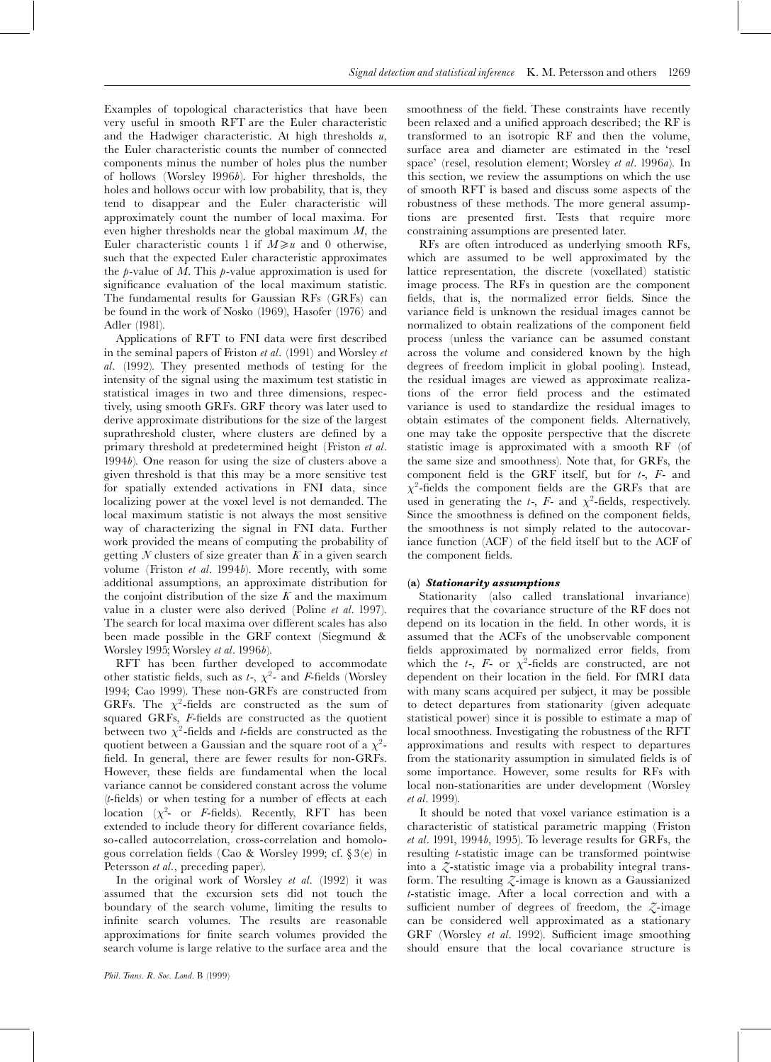Examples of topological characteristics that have been very useful in smooth RFT are the Euler characteristic and the Hadwiger characteristic. At high thresholds  $u$ , the Euler characteristic counts the number of connected components minus the number of holes plus the number of hollows (Worsley 1996b). For higher thresholds, the holes and hollows occur with low probability, that is, they tend to disappear and the Euler characteristic will approximately count the number of local maxima. For even higher thresholds near the global maximum  $M$ , the Euler characteristic counts 1 if  $M \ge u$  and 0 otherwise, such that the expected Euler characteristic approximates the  $p$ -value of M. This  $p$ -value approximation is used for significance evaluation of the local maximum statistic. The fundamental results for Gaussian RFs (GRFs) can be found in the work of Nosko (1969), Hasofer (1976) and Adler (1981).

Applications of RFT to FNI data were first described in the seminal papers of Friston et al. (1991) and Worsley et al. (1992). They presented methods of testing for the intensity of the signal using the maximum test statistic in statistical images in two and three dimensions, respectively, using smooth GRFs. GRF theory was later used to derive approximate distributions for the size of the largest suprathreshold cluster, where clusters are defined by a primary threshold at predetermined height (Friston et al.  $1994b$ ). One reason for using the size of clusters above a given threshold is that this may be a more sensitive test for spatially extended activations in FNI data, since localizing power at the voxel level is not demanded. The local maximum statistic is not always the most sensitive way of characterizing the signal in FNI data. Further work provided the means of computing the probability of getting  $N$  clusters of size greater than  $K$  in a given search volume (Friston et al. 1994b). More recently, with some additional assumptions, an approximate distribution for the conjoint distribution of the size  $K$  and the maximum value in a cluster were also derived (Poline et al. 1997). The search for local maxima over different scales has also been made possible in the GRF context (Siegmund & Worsley 1995; Worsley et al. 1996b).

RFT has been further developed to accommodate other statistic fields, such as  $t$ -,  $\chi^2$ - and *F*-fields (Worsley 1994; Cao 1999). These non-GRFs are constructed from GRFs. The  $\chi^2$ -fields are constructed as the sum of squared GRFs, F-fields are constructed as the quotient between two  $\chi^2$ -fields and *t*-fields are constructed as the quotient between a Gaussian and the square root of a  $\chi^2$ field. In general, there are fewer results for non-GRFs. However, these fields are fundamental when the local variance cannot be considered constant across the volume (*t*-fields) or when testing for a number of effects at each location ( $\chi^2$ - or *F*-fields). Recently, RFT has been extended to include theory for different covariance fields, so-called autocorrelation, cross-correlation and homologous correlation fields (Cao & Worsley 1999; cf. § 3(e) in Petersson et al., preceding paper).

In the original work of Worsley et al. (1992) it was assumed that the excursion sets did not touch the boundary of the search volume, limiting the results to infinite search volumes. The results are reasonable approximations for finite search volumes provided the search volume is large relative to the surface area and the smoothness of the field. These constraints have recently been relaxed and a unified approach described; the RF is transformed to an isotropic RF and then the volume, surface area and diameter are estimated in the 'resel space' (resel, resolution element; Worsley et al. 1996a). In this section, we review the assumptions on which the use of smooth RFT is based and discuss some aspects of the robustness of these methods. The more general assumptions are presented first. Tests that require more constraining assumptions are presented later.

RFs are often introduced as underlying smooth RFs, which are assumed to be well approximated by the lattice representation, the discrete (voxellated) statistic image process. The RFs in question are the component fields, that is, the normalized error fields. Since the variance field is unknown the residual images cannot be normalized to obtain realizations of the component field process (unless the variance can be assumed constant across the volume and considered known by the high degrees of freedom implicit in global pooling). Instead, the residual images are viewed as approximate realizations of the error field process and the estimated variance is used to standardize the residual images to obtain estimates of the component fields. Alternatively, one may take the opposite perspective that the discrete statistic image is approximated with a smooth RF (of the same size and smoothness). Note that, for GRFs, the component field is the GRF itself, but for  $t$ -,  $F$ - and  $\chi^2$ -fields the component fields are the GRFs that are used in generating the  $t$ -,  $F$ - and  $\chi^2$ -fields, respectively. Since the smoothness is defined on the component fields, the smoothness is not simply related to the autocovariance function (ACF) of the field itself but to the ACF of the component fields.

#### (a) Stationarity assumptions

Stationarity (also called translational invariance) requires that the covariance structure of the RF does not depend on its location in the field. In other words, it is assumed that the ACFs of the unobservable component fields approximated by normalized error fields, from which the  $t_7$ ,  $F_7$  or  $\chi^2$ -fields are constructed, are not dependent on their location in the field. For fMRI data with many scans acquired per subject, it may be possible to detect departures from stationarity (given adequate statistical power) since it is possible to estimate a map of local smoothness. Investigating the robustness of the RFT approximations and results with respect to departures from the stationarity assumption in simulated fields is of some importance. However, some results for RFs with local non-stationarities are under development (Worsley et al. 1999).

It should be noted that voxel variance estimation is a characteristic of statistical parametric mapping (Friston *et al.* 1991, 1994*b*, 1995). To leverage results for GRFs, the resulting *t*-statistic image can be transformed pointwise into a  $\zeta$ -statistic image via a probability integral transform. The resulting  $\zeta$ -image is known as a Gaussianized *t*-statistic image. After a local correction and with a sufficient number of degrees of freedom, the  $\zeta$ -image can be considered well approximated as a stationary GRF (Worsley et al. 1992). Sufficient image smoothing should ensure that the local covariance structure is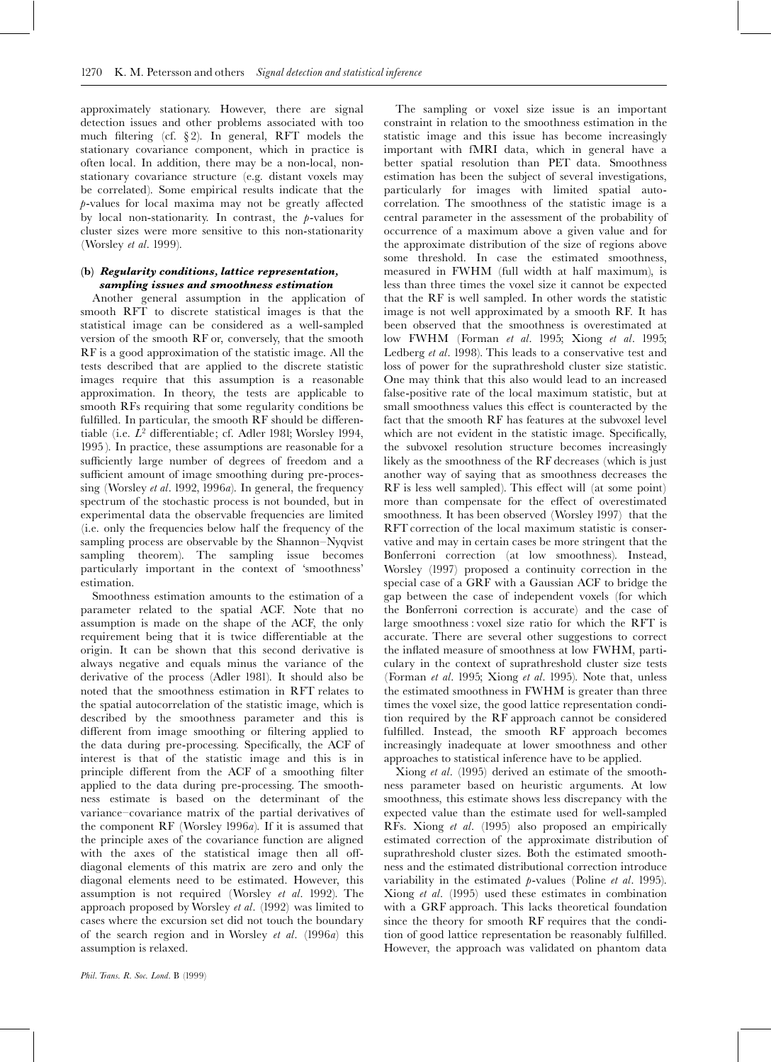approximately stationary. However, there are signal detection issues and other problems associated with too much filtering (cf.  $\S 2$ ). In general, RFT models the stationary covariance component, which in practice is often local. In addition, there may be a non-local, nonstationary covariance structure (e.g. distant voxels may be correlated). Some empirical results indicate that the  $p$ -values for local maxima may not be greatly affected by local non-stationarity. In contrast, the  $p$ -values for cluster sizes were more sensitive to this non-stationarity (Worsley et al. 1999).

# (b) Regularity conditions, lattice representation, sampling issues and smoothness estimation

Another general assumption in the application of smooth RFT to discrete statistical images is that the statistical image can be considered as a well-sampled version of the smooth RF or, conversely, that the smooth RF is a good approximation of the statistic image. All the tests described that are applied to the discrete statistic images require that this assumption is a reasonable approximation. In theory, the tests are applicable to smooth RFs requiring that some regularity conditions be fulfilled. In particular, the smooth RF should be differentiable (i.e.  $L^2$  differentiable; cf. Adler 1981; Worsley 1994, 1995). In practice, these assumptions are reasonable for a sufficiently large number of degrees of freedom and a sufficient amount of image smoothing during pre-processing (Worsley *et al.* 1992, 1996*a*). In general, the frequency spectrum of the stochastic process is not bounded, but in experimental data the observable frequencies are limited (i.e. only the frequencies below half the frequency of the sampling process are observable by the Shannon-Nyqvist sampling theorem). The sampling issue becomes particularly important in the context of 'smoothness' estimation

Smoothness estimation amounts to the estimation of a parameter related to the spatial ACF. Note that no assumption is made on the shape of the ACF, the only requirement being that it is twice differentiable at the origin. It can be shown that this second derivative is always negative and equals minus the variance of the derivative of the process (Adler 1981). It should also be noted that the smoothness estimation in RFT relates to the spatial autocorrelation of the statistic image, which is described by the smoothness parameter and this is different from image smoothing or filtering applied to the data during pre-processing. Specifically, the ACF of interest is that of the statistic image and this is in principle different from the ACF of a smoothing filter applied to the data during pre-processing. The smoothness estimate is based on the determinant of the variance-covariance matrix of the partial derivatives of the component RF (Worsley 1996a). If it is assumed that the principle axes of the covariance function are aligned with the axes of the statistical image then all offdiagonal elements of this matrix are zero and only the diagonal elements need to be estimated. However, this assumption is not required (Worsley et al. 1992). The approach proposed by Worsley et al. (1992) was limited to cases where the excursion set did not touch the boundary of the search region and in Worsley et al. (1996a) this assumption is relaxed.

The sampling or voxel size issue is an important constraint in relation to the smoothness estimation in the statistic image and this issue has become increasingly important with fMRI data, which in general have a better spatial resolution than PET data. Smoothness estimation has been the subject of several investigations, particularly for images with limited spatial autocorrelation. The smoothness of the statistic image is a central parameter in the assessment of the probability of occurrence of a maximum above a given value and for the approximate distribution of the size of regions above some threshold. In case the estimated smoothness, measured in FWHM (full width at half maximum), is less than three times the voxel size it cannot be expected that the RF is well sampled. In other words the statistic image is not well approximated by a smooth RF. It has been observed that the smoothness is overestimated at low FWHM (Forman et al. 1995; Xiong et al. 1995; Ledberg et al. 1998). This leads to a conservative test and loss of power for the suprathreshold cluster size statistic. One may think that this also would lead to an increased false-positive rate of the local maximum statistic, but at small smoothness values this effect is counteracted by the fact that the smooth RF has features at the subvoxel level which are not evident in the statistic image. Specifically, the subvoxel resolution structure becomes increasingly likely as the smoothness of the RF decreases (which is just another way of saying that as smoothness decreases the RF is less well sampled). This effect will (at some point) more than compensate for the effect of overestimated smoothness. It has been observed (Worsley 1997) that the RFT correction of the local maximum statistic is conservative and may in certain cases be more stringent that the Bonferroni correction (at low smoothness). Instead, Worsley (1997) proposed a continuity correction in the special case of a GRF with a Gaussian ACF to bridge the gap between the case of independent voxels (for which the Bonferroni correction is accurate) and the case of large smoothness: voxel size ratio for which the RFT is accurate. There are several other suggestions to correct the inflated measure of smoothness at low FWHM, particulary in the context of suprathreshold cluster size tests (Forman et al. 1995; Xiong et al. 1995). Note that, unless the estimated smoothness in FWHM is greater than three times the voxel size, the good lattice representation condition required by the RF approach cannot be considered fulfilled. Instead, the smooth RF approach becomes increasingly inadequate at lower smoothness and other approaches to statistical inference have to be applied.

Xiong et al. (1995) derived an estimate of the smoothness parameter based on heuristic arguments. At low smoothness, this estimate shows less discrepancy with the expected value than the estimate used for well-sampled RFs. Xiong et al. (1995) also proposed an empirically estimated correction of the approximate distribution of suprathreshold cluster sizes. Both the estimated smoothness and the estimated distributional correction introduce variability in the estimated  $p$ -values (Poline et al. 1995). Xiong et al. (1995) used these estimates in combination with a GRF approach. This lacks theoretical foundation since the theory for smooth RF requires that the condition of good lattice representation be reasonably fulfilled. However, the approach was validated on phantom data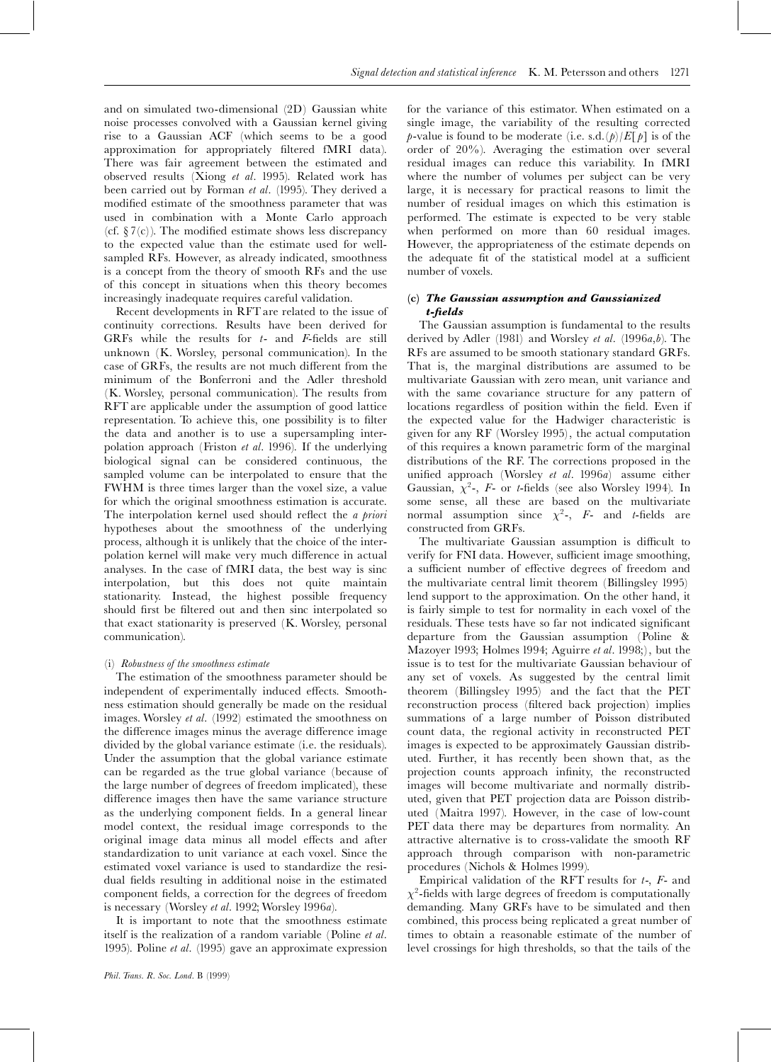and on simulated two-dimensional (2D) Gaussian white noise processes convolved with a Gaussian kernel giving rise to a Gaussian ACF (which seems to be a good approximation for appropriately filtered fMRI data). There was fair agreement between the estimated and observed results (Xiong et al. 1995). Related work has been carried out by Forman et al. (1995). They derived a modified estimate of the smoothness parameter that was used in combination with a Monte Carlo approach (cf.  $\S7(c)$ ). The modified estimate shows less discrepancy to the expected value than the estimate used for wellsampled RFs. However, as already indicated, smoothness is a concept from the theory of smooth RFs and the use of this concept in situations when this theory becomes increasingly inadequate requires careful validation.

Recent developments in RFT are related to the issue of continuity corrections. Results have been derived for GRFs while the results for t- and F-fields are still unknown (K. Worsley, personal communication). In the case of GRFs, the results are not much different from the minimum of the Bonferroni and the Adler threshold (K. Worsley, personal communication). The results from RFT are applicable under the assumption of good lattice representation. To achieve this, one possibility is to filter the data and another is to use a supersampling interpolation approach (Friston et al. 1996). If the underlying biological signal can be considered continuous, the sampled volume can be interpolated to ensure that the FWHM is three times larger than the voxel size, a value for which the original smoothness estimation is accurate. The interpolation kernel used should reflect the *a priori* hypotheses about the smoothness of the underlying process, although it is unlikely that the choice of the interpolation kernel will make very much difference in actual analyses. In the case of fMRI data, the best way is sinc interpolation, but this does not quite maintain stationarity. Instead, the highest possible frequency should first be filtered out and then sinc interpolated so that exact stationarity is preserved (K. Worsley, personal communication).

#### (i) Robustness of the smoothness estimate

The estimation of the smoothness parameter should be independent of experimentally induced effects. Smoothness estimation should generally be made on the residual images. Worsley et al. (1992) estimated the smoothness on the difference images minus the average difference image divided by the global variance estimate (i.e. the residuals). Under the assumption that the global variance estimate can be regarded as the true global variance (because of the large number of degrees of freedom implicated), these difference images then have the same variance structure as the underlying component fields. In a general linear model context, the residual image corresponds to the original image data minus all model effects and after standardization to unit variance at each voxel. Since the estimated voxel variance is used to standardize the residual fields resulting in additional noise in the estimated component fields, a correction for the degrees of freedom is necessary (Worsley et al. 1992; Worsley 1996a).

It is important to note that the smoothness estimate itself is the realization of a random variable (Poline *et al.* 1995). Poline et al. (1995) gave an approximate expression for the variance of this estimator. When estimated on a single image, the variability of the resulting corrected p-value is found to be moderate (i.e. s.d. $(p)/E[p]$  is of the order of  $20\%$ ). Averaging the estimation over several residual images can reduce this variability. In fMRI where the number of volumes per subject can be very large, it is necessary for practical reasons to limit the number of residual images on which this estimation is performed. The estimate is expected to be very stable when performed on more than 60 residual images. However, the appropriateness of the estimate depends on the adequate fit of the statistical model at a sufficient number of voxels.

#### (c) The Gaussian assumption and Gaussianized t-fields

The Gaussian assumption is fundamental to the results derived by Adler (1981) and Worsley et al. (1996a,b). The RFs are assumed to be smooth stationary standard GRFs. That is, the marginal distributions are assumed to be multivariate Gaussian with zero mean, unit variance and with the same covariance structure for any pattern of locations regardless of position within the field. Even if the expected value for the Hadwiger characteristic is given for any RF (Worsley 1995), the actual computation of this requires a known parametric form of the marginal distributions of the RF. The corrections proposed in the unified approach (Worsley et al. 1996a) assume either Gaussian,  $\chi^2$ -, F- or t-fields (see also Worsley 1994). In some sense, all these are based on the multivariate normal assumption since  $\chi^2$ -, F- and t-fields are constructed from GRFs.

The multivariate Gaussian assumption is difficult to verify for FNI data. However, sufficient image smoothing, a sufficient number of effective degrees of freedom and the multivariate central limit theorem (Billingsley 1995) lend support to the approximation. On the other hand, it is fairly simple to test for normality in each voxel of the residuals. These tests have so far not indicated significant departure from the Gaussian assumption (Poline & Mazoyer 1993; Holmes 1994; Aguirre et al. 1998;), but the issue is to test for the multivariate Gaussian behaviour of any set of voxels. As suggested by the central limit theorem (Billingsley 1995) and the fact that the PET reconstruction process (filtered back projection) implies summations of a large number of Poisson distributed count data, the regional activity in reconstructed PET images is expected to be approximately Gaussian distributed. Further, it has recently been shown that, as the projection counts approach infinity, the reconstructed images will become multivariate and normally distributed, given that PET projection data are Poisson distributed (Maitra 1997). However, in the case of low-count PET data there may be departures from normality. An attractive alternative is to cross-validate the smooth RF approach through comparison with non-parametric procedures (Nichols & Holmes 1999).

Empirical validation of the RFT results for  $t$ -,  $F$ - and  $\chi^2$ -fields with large degrees of freedom is computationally demanding. Many GRFs have to be simulated and then combined, this process being replicated a great number of times to obtain a reasonable estimate of the number of level crossings for high thresholds, so that the tails of the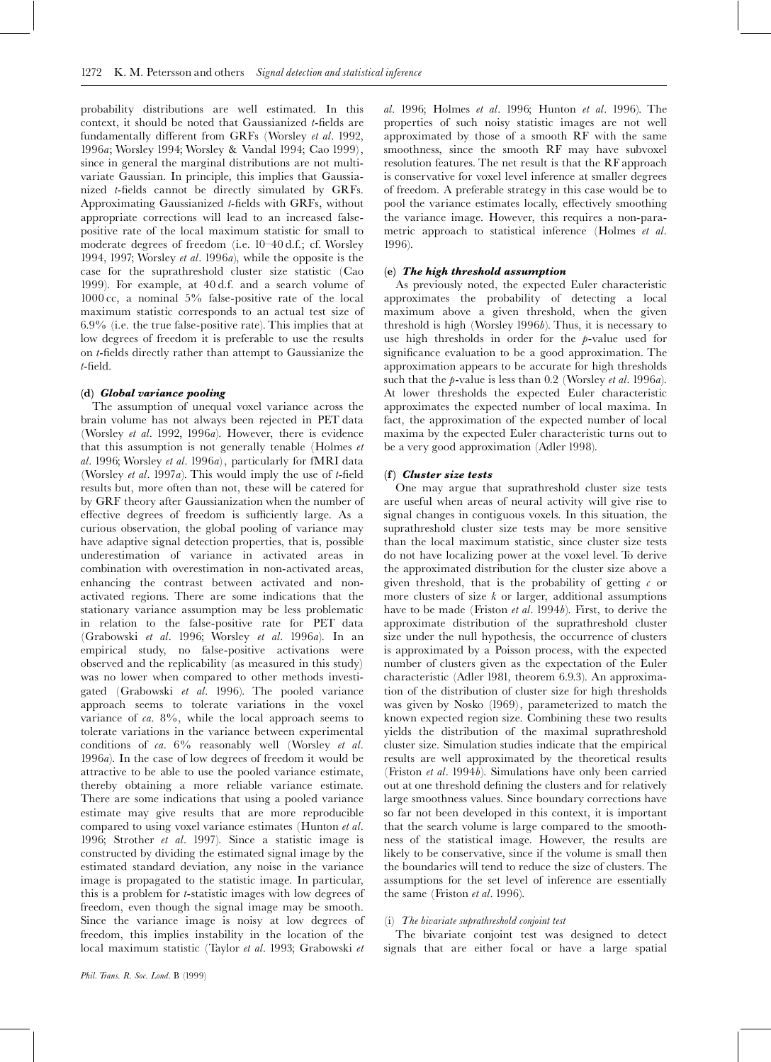probability distributions are well estimated. In this context, it should be noted that Gaussianized t-fields are fundamentally different from GRFs (Worsley et al. 1992, 1996a; Worsley 1994; Worsley & Vandal 1994; Cao 1999), since in general the marginal distributions are not multivariate Gaussian. In principle, this implies that Gaussianized t-fields cannot be directly simulated by GRFs. Approximating Gaussianized t-fields with GRFs, without appropriate corrections will lead to an increased falsepositive rate of the local maximum statistic for small to moderate degrees of freedom (i.e. 10-40 d.f.; cf. Worsley 1994, 1997; Worsley et al. 1996a), while the opposite is the case for the suprathreshold cluster size statistic (Cao 1999). For example, at 40 d.f. and a search volume of  $1000 \text{ cc}$ , a nominal  $5\%$  false-positive rate of the local maximum statistic corresponds to an actual test size of 6.9% (i.e. the true false-positive rate). This implies that at low degrees of freedom it is preferable to use the results on t-fields directly rather than attempt to Gaussianize the  $t$ -field.

#### (d) Global variance pooling

The assumption of unequal voxel variance across the brain volume has not always been rejected in PET data (Worsley et al. 1992, 1996a). However, there is evidence that this assumption is not generally tenable (Holmes et al. 1996; Worsley et al. 1996a), particularly for fMRI data (Worsley *et al.* 1997*a*). This would imply the use of *t*-field results but, more often than not, these will be catered for by GRF theory after Gaussianization when the number of effective degrees of freedom is sufficiently large. As a curious observation, the global pooling of variance may have adaptive signal detection properties, that is, possible underestimation of variance in activated areas in combination with overestimation in non-activated areas, enhancing the contrast between activated and nonactivated regions. There are some indications that the stationary variance assumption may be less problematic in relation to the false-positive rate for PET data (Grabowski et al. 1996; Worsley et al. 1996a). In an empirical study, no false-positive activations were observed and the replicability (as measured in this study) was no lower when compared to other methods investigated (Grabowski et al. 1996). The pooled variance approach seems to tolerate variations in the voxel variance of  $ca. 8\%$ , while the local approach seems to tolerate variations in the variance between experimental conditions of ca. 6% reasonably well (Worsley et al. 1996a). In the case of low degrees of freedom it would be attractive to be able to use the pooled variance estimate, thereby obtaining a more reliable variance estimate. There are some indications that using a pooled variance estimate may give results that are more reproducible compared to using voxel variance estimates (Hunton et al. 1996; Strother et al. 1997). Since a statistic image is constructed by dividing the estimated signal image by the estimated standard deviation, any noise in the variance image is propagated to the statistic image. In particular, this is a problem for *t*-statistic images with low degrees of freedom, even though the signal image may be smooth. Since the variance image is noisy at low degrees of freedom, this implies instability in the location of the local maximum statistic (Taylor et al. 1993; Grabowski et

al. 1996; Holmes et al. 1996; Hunton et al. 1996). The properties of such noisy statistic images are not well approximated by those of a smooth RF with the same smoothness, since the smooth RF may have subvoxel resolution features. The net result is that the RF approach is conservative for voxel level inference at smaller degrees of freedom. A preferable strategy in this case would be to pool the variance estimates locally, effectively smoothing the variance image. However, this requires a non-parametric approach to statistical inference (Holmes et al.  $1996$ ).

#### (e) The high threshold assumption

As previously noted, the expected Euler characteristic approximates the probability of detecting a local maximum above a given threshold, when the given threshold is high (Worsley 1996 $b$ ). Thus, it is necessary to use high thresholds in order for the  $p$ -value used for significance evaluation to be a good approximation. The approximation appears to be accurate for high thresholds such that the  $p$ -value is less than 0.2 (Worsley *et al.* 1996*a*). At lower thresholds the expected Euler characteristic approximates the expected number of local maxima. In fact, the approximation of the expected number of local maxima by the expected Euler characteristic turns out to be a very good approximation (Adler 1998).

#### $(f)$  Cluster size tests

One may argue that suprathreshold cluster size tests are useful when areas of neural activity will give rise to signal changes in contiguous voxels. In this situation, the suprathreshold cluster size tests may be more sensitive than the local maximum statistic, since cluster size tests do not have localizing power at the voxel level. To derive the approximated distribution for the cluster size above a given threshold, that is the probability of getting  $\epsilon$  or more clusters of size  $k$  or larger, additional assumptions have to be made (Friston et al. 1994b). First, to derive the approximate distribution of the suprathreshold cluster size under the null hypothesis, the occurrence of clusters is approximated by a Poisson process, with the expected number of clusters given as the expectation of the Euler characteristic (Adler 1981, theorem 6.9.3). An approximation of the distribution of cluster size for high thresholds was given by Nosko (1969), parameterized to match the known expected region size. Combining these two results yields the distribution of the maximal suprathreshold cluster size. Simulation studies indicate that the empirical results are well approximated by the theoretical results (Friston et al. 1994b). Simulations have only been carried out at one threshold defining the clusters and for relatively large smoothness values. Since boundary corrections have so far not been developed in this context, it is important that the search volume is large compared to the smoothness of the statistical image. However, the results are likely to be conservative, since if the volume is small then the boundaries will tend to reduce the size of clusters. The assumptions for the set level of inference are essentially the same (Friston et al. 1996).

#### (i) The bivariate suprathreshold conjoint test

The bivariate conjoint test was designed to detect signals that are either focal or have a large spatial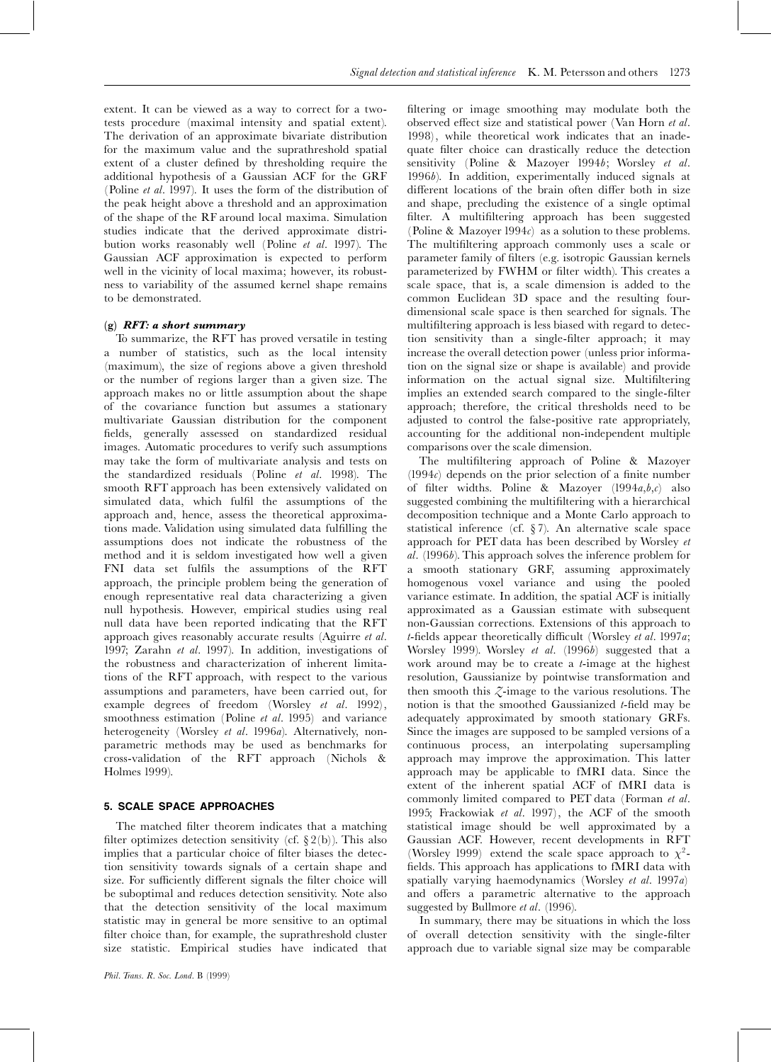extent. It can be viewed as a way to correct for a twotests procedure (maximal intensity and spatial extent). The derivation of an approximate bivariate distribution for the maximum value and the suprathreshold spatial extent of a cluster defined by thresholding require the additional hypothesis of a Gaussian ACF for the GRF (Poline et al. 1997). It uses the form of the distribution of the peak height above a threshold and an approximation of the shape of the RF around local maxima. Simulation studies indicate that the derived approximate distribution works reasonably well (Poline et al. 1997). The Gaussian ACF approximation is expected to perform well in the vicinity of local maxima; however, its robustness to variability of the assumed kernel shape remains to be demonstrated.

# $(g)$  RFT: a short summary

To summarize, the RFT has proved versatile in testing a number of statistics, such as the local intensity (maximum), the size of regions above a given threshold or the number of regions larger than a given size. The approach makes no or little assumption about the shape of the covariance function but assumes a stationary multivariate Gaussian distribution for the component fields, generally assessed on standardized residual images. Automatic procedures to verify such assumptions may take the form of multivariate analysis and tests on the standardized residuals (Poline et al. 1998). The smooth RFT approach has been extensively validated on simulated data, which fulfil the assumptions of the approach and, hence, assess the theoretical approximations made. Validation using simulated data fulfilling the assumptions does not indicate the robustness of the method and it is seldom investigated how well a given FNI data set fulfils the assumptions of the RFT approach, the principle problem being the generation of enough representative real data characterizing a given null hypothesis. However, empirical studies using real null data have been reported indicating that the RFT approach gives reasonably accurate results (Aguirre et al. 1997; Zarahn et al. 1997). In addition, investigations of the robustness and characterization of inherent limitations of the RFT approach, with respect to the various assumptions and parameters, have been carried out, for example degrees of freedom (Worsley et al. 1992), smoothness estimation (Poline et al. 1995) and variance heterogeneity (Worsley et al. 1996a). Alternatively, nonparametric methods may be used as benchmarks for cross-validation of the RFT approach (Nichols & Holmes 1999).

#### 5. SCALE SPACE APPROACHES

The matched filter theorem indicates that a matching filter optimizes detection sensitivity (cf.  $\S 2(b)$ ). This also implies that a particular choice of filter biases the detection sensitivity towards signals of a certain shape and size. For sufficiently different signals the filter choice will be suboptimal and reduces detection sensitivity. Note also that the detection sensitivity of the local maximum statistic may in general be more sensitive to an optimal filter choice than, for example, the suprathreshold cluster size statistic. Empirical studies have indicated that filtering or image smoothing may modulate both the observed effect size and statistical power (Van Horn et al. 1998), while theoretical work indicates that an inadequate filter choice can drastically reduce the detection sensitivity (Poline & Mazoyer 1994b; Worsley et al. 1996b). In addition, experimentally induced signals at different locations of the brain often differ both in size and shape, precluding the existence of a single optimal filter. A multifiltering approach has been suggested (Poline & Mazoyer 1994 $\epsilon$ ) as a solution to these problems. The multifiltering approach commonly uses a scale or parameter family of filters (e.g. isotropic Gaussian kernels parameterized by FWHM or filter width). This creates a scale space, that is, a scale dimension is added to the common Euclidean 3D space and the resulting fourdimensional scale space is then searched for signals. The multifiltering approach is less biased with regard to detection sensitivity than a single-filter approach; it may increase the overall detection power (unless prior information on the signal size or shape is available) and provide information on the actual signal size. Multifiltering implies an extended search compared to the single-filter approach; therefore, the critical thresholds need to be adjusted to control the false-positive rate appropriately, accounting for the additional non-independent multiple comparisons over the scale dimension.

The multifiltering approach of Poline & Mazover  $(1994c)$  depends on the prior selection of a finite number of filter widths. Poline & Mazoyer (1994a,b,c) also suggested combining the multifiltering with a hierarchical decomposition technique and a Monte Carlo approach to statistical inference (cf.  $\S$ 7). An alternative scale space approach for PET data has been described by Worsley et al. (1996b). This approach solves the inference problem for a smooth stationary GRF, assuming approximately homogenous voxel variance and using the pooled variance estimate. In addition, the spatial ACF is initially approximated as a Gaussian estimate with subsequent non-Gaussian corrections. Extensions of this approach to t-fields appear theoretically difficult (Worsley et al. 1997a; Worsley 1999). Worsley et al. (1996b) suggested that a work around may be to create a  $t$ -image at the highest resolution, Gaussianize by pointwise transformation and then smooth this  $\mathcal{Z}$ -image to the various resolutions. The notion is that the smoothed Gaussianized  $t$ -field may be adequately approximated by smooth stationary GRFs. Since the images are supposed to be sampled versions of a continuous process, an interpolating supersampling approach may improve the approximation. This latter approach may be applicable to fMRI data. Since the extent of the inherent spatial ACF of fMRI data is commonly limited compared to PET data (Forman et al. 1995; Frackowiak et al. 1997), the ACF of the smooth statistical image should be well approximated by a Gaussian ACF. However, recent developments in RFT (Worsley 1999) extend the scale space approach to  $\chi^2$ fields. This approach has applications to fMRI data with spatially varying haemodynamics (Worsley et al. 1997a) and offers a parametric alternative to the approach suggested by Bullmore et al. (1996).

In summary, there may be situations in which the loss of overall detection sensitivity with the single-filter approach due to variable signal size may be comparable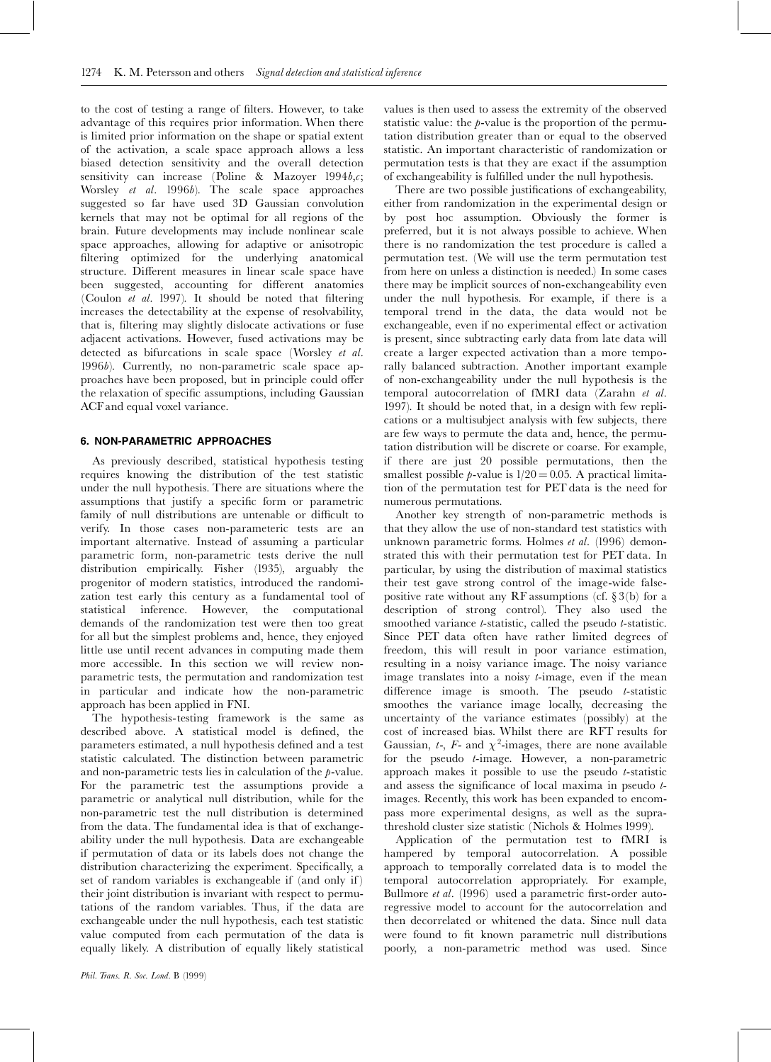to the cost of testing a range of filters. However, to take advantage of this requires prior information. When there is limited prior information on the shape or spatial extent of the activation, a scale space approach allows a less biased detection sensitivity and the overall detection sensitivity can increase (Poline & Mazoyer  $1994b,c$ ; Worsley et al. 1996b). The scale space approaches suggested so far have used 3D Gaussian convolution kernels that may not be optimal for all regions of the brain. Future developments may include nonlinear scale space approaches, allowing for adaptive or anisotropic filtering optimized for the underlying anatomical structure. Different measures in linear scale space have been suggested, accounting for different anatomies (Coulon et al. 1997). It should be noted that filtering increases the detectability at the expense of resolvability, that is, filtering may slightly dislocate activations or fuse adjacent activations. However, fused activations may be detected as bifurcations in scale space (Worsley et al. 1996b). Currently, no non-parametric scale space approaches have been proposed, but in principle could offer the relaxation of specific assumptions, including Gaussian ACF and equal voxel variance.

#### 6. NON-PARAMETRIC APPROACHES

As previously described, statistical hypothesis testing requires knowing the distribution of the test statistic under the null hypothesis. There are situations where the assumptions that justify a specific form or parametric family of null distributions are untenable or difficult to verify. In those cases non-parameteric tests are an important alternative. Instead of assuming a particular parametric form, non-parametric tests derive the null distribution empirically. Fisher (1935), arguably the progenitor of modern statistics, introduced the randomization test early this century as a fundamental tool of statistical inference. However, the computational demands of the randomization test were then too great for all but the simplest problems and, hence, they enjoyed little use until recent advances in computing made them more accessible. In this section we will review nonparametric tests, the permutation and randomization test in particular and indicate how the non-parametric approach has been applied in FNI.

The hypothesis-testing framework is the same as described above. A statistical model is defined, the parameters estimated, a null hypothesis defined and a test statistic calculated. The distinction between parametric and non-parametric tests lies in calculation of the  $p$ -value. For the parametric test the assumptions provide a parametric or analytical null distribution, while for the non-parametric test the null distribution is determined from the data. The fundamental idea is that of exchangeability under the null hypothesis. Data are exchangeable if permutation of data or its labels does not change the distribution characterizing the experiment. Specifically, a set of random variables is exchangeable if (and only if) their joint distribution is invariant with respect to permutations of the random variables. Thus, if the data are exchangeable under the null hypothesis, each test statistic value computed from each permutation of the data is equally likely. A distribution of equally likely statistical

Phil. Trans. R. Soc. Lond. B (1999)

values is then used to assess the extremity of the observed statistic value: the  $p$ -value is the proportion of the permutation distribution greater than or equal to the observed statistic. An important characteristic of randomization or permutation tests is that they are exact if the assumption of exchangeability is fulfilled under the null hypothesis.

There are two possible justifications of exchangeability, either from randomization in the experimental design or by post hoc assumption. Obviously the former is preferred, but it is not always possible to achieve. When there is no randomization the test procedure is called a permutation test. (We will use the term permutation test from here on unless a distinction is needed.) In some cases there may be implicit sources of non-exchangeability even under the null hypothesis. For example, if there is a temporal trend in the data, the data would not be exchangeable, even if no experimental effect or activation is present, since subtracting early data from late data will create a larger expected activation than a more temporally balanced subtraction. Another important example of non-exchangeability under the null hypothesis is the temporal autocorrelation of fMRI data (Zarahn et al. 1997). It should be noted that, in a design with few replications or a multisubject analysis with few subjects, there are few ways to permute the data and, hence, the permutation distribution will be discrete or coarse. For example, if there are just 20 possible permutations, then the smallest possible *p*-value is  $1/20 = 0.05$ . A practical limitation of the permutation test for PET data is the need for numerous permutations.

Another key strength of non-parametric methods is that they allow the use of non-standard test statistics with unknown parametric forms. Holmes et al. (1996) demonstrated this with their permutation test for PET data. In particular, by using the distribution of maximal statistics their test gave strong control of the image-wide falsepositive rate without any RF assumptions (cf.  $\S 3(b)$  for a description of strong control). They also used the smoothed variance *t*-statistic, called the pseudo *t*-statistic. Since PET data often have rather limited degrees of freedom, this will result in poor variance estimation, resulting in a noisy variance image. The noisy variance image translates into a noisy  $t$ -image, even if the mean difference image is smooth. The pseudo t-statistic smoothes the variance image locally, decreasing the uncertainty of the variance estimates (possibly) at the cost of increased bias. Whilst there are RFT results for Gaussian,  $t$ -,  $F$ - and  $\chi^2$ -images, there are none available for the pseudo *t*-image. However, a non-parametric approach makes it possible to use the pseudo  $t$ -statistic and assess the significance of local maxima in pseudo timages. Recently, this work has been expanded to encompass more experimental designs, as well as the suprathreshold cluster size statistic (Nichols & Holmes 1999).

Application of the permutation test to fMRI is hampered by temporal autocorrelation. A possible approach to temporally correlated data is to model the temporal autocorrelation appropriately. For example, Bullmore et al. (1996) used a parametric first-order autoregressive model to account for the autocorrelation and then decorrelated or whitened the data. Since null data were found to fit known parametric null distributions poorly, a non-parametric method was used. Since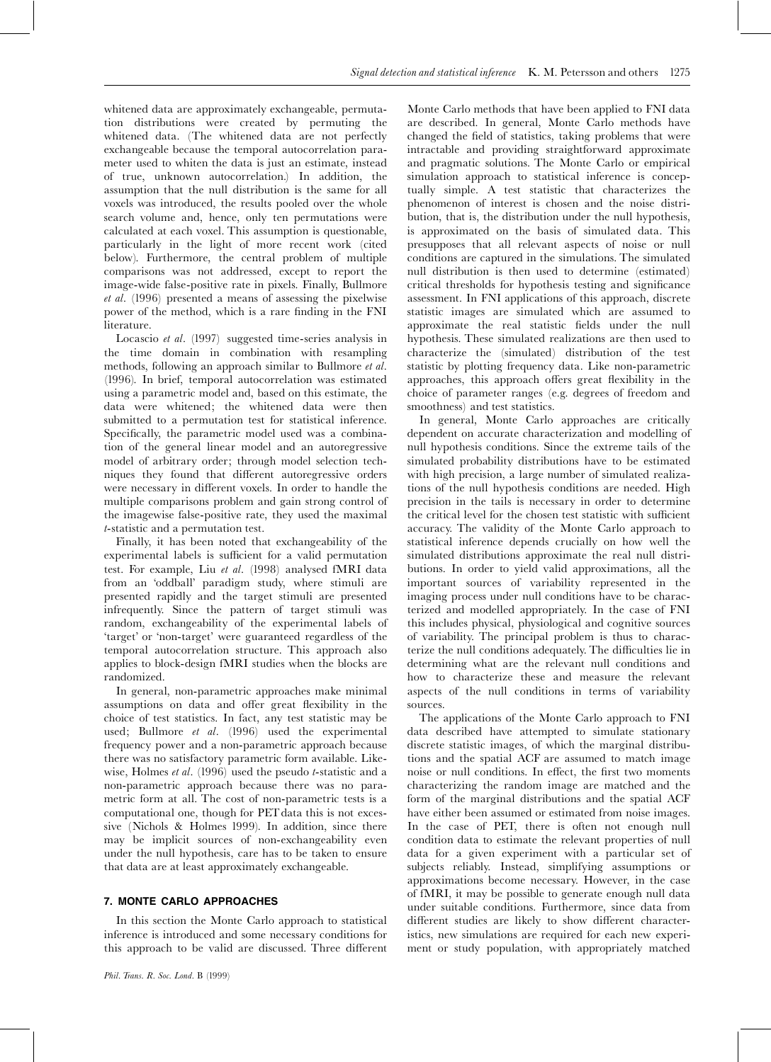whitened data are approximately exchangeable, permutation distributions were created by permuting the whitened data. (The whitened data are not perfectly exchangeable because the temporal autocorrelation parameter used to whiten the data is just an estimate, instead of true, unknown autocorrelation.) In addition, the assumption that the null distribution is the same for all voxels was introduced, the results pooled over the whole search volume and, hence, only ten permutations were calculated at each voxel. This assumption is questionable, particularly in the light of more recent work (cited below). Furthermore, the central problem of multiple comparisons was not addressed, except to report the image-wide false-positive rate in pixels. Finally, Bullmore *et al.* (1996) presented a means of assessing the pixelwise power of the method, which is a rare finding in the FNI literature.

Locascio et al. (1997) suggested time-series analysis in the time domain in combination with resampling methods, following an approach similar to Bullmore et al. (1996). In brief, temporal autocorrelation was estimated using a parametric model and, based on this estimate, the data were whitened; the whitened data were then submitted to a permutation test for statistical inference. Specifically, the parametric model used was a combination of the general linear model and an autoregressive model of arbitrary order; through model selection techniques they found that different autoregressive orders were necessary in different voxels. In order to handle the multiple comparisons problem and gain strong control of the imagewise false-positive rate, they used the maximal *t*-statistic and a permutation test.

Finally, it has been noted that exchangeability of the experimental labels is sufficient for a valid permutation test. For example, Liu et al. (1998) analysed fMRI data from an 'oddball' paradigm study, where stimuli are presented rapidly and the target stimuli are presented infrequently. Since the pattern of target stimuli was random, exchangeability of the experimental labels of 'target' or 'non-target' were guaranteed regardless of the temporal autocorrelation structure. This approach also applies to block-design fMRI studies when the blocks are randomized.

In general, non-parametric approaches make minimal assumptions on data and offer great flexibility in the choice of test statistics. In fact, any test statistic may be used; Bullmore et al. (1996) used the experimental frequency power and a non-parametric approach because there was no satisfactory parametric form available. Likewise, Holmes et al. (1996) used the pseudo t-statistic and a non-parametric approach because there was no parametric form at all. The cost of non-parametric tests is a computational one, though for PET data this is not excessive (Nichols & Holmes 1999). In addition, since there may be implicit sources of non-exchangeability even under the null hypothesis, care has to be taken to ensure that data are at least approximately exchangeable.

#### 7. MONTE CARLO APPROACHES

In this section the Monte Carlo approach to statistical inference is introduced and some necessary conditions for this approach to be valid are discussed. Three different Monte Carlo methods that have been applied to FNI data are described. In general, Monte Carlo methods have changed the field of statistics, taking problems that were intractable and providing straightforward approximate and pragmatic solutions. The Monte Carlo or empirical simulation approach to statistical inference is conceptually simple. A test statistic that characterizes the phenomenon of interest is chosen and the noise distribution, that is, the distribution under the null hypothesis, is approximated on the basis of simulated data. This presupposes that all relevant aspects of noise or null conditions are captured in the simulations. The simulated null distribution is then used to determine (estimated) critical thresholds for hypothesis testing and significance assessment. In FNI applications of this approach, discrete statistic images are simulated which are assumed to approximate the real statistic fields under the null hypothesis. These simulated realizations are then used to characterize the (simulated) distribution of the test statistic by plotting frequency data. Like non-parametric approaches, this approach offers great flexibility in the choice of parameter ranges (e.g. degrees of freedom and smoothness) and test statistics.

In general, Monte Carlo approaches are critically dependent on accurate characterization and modelling of null hypothesis conditions. Since the extreme tails of the simulated probability distributions have to be estimated with high precision, a large number of simulated realizations of the null hypothesis conditions are needed. High precision in the tails is necessary in order to determine the critical level for the chosen test statistic with sufficient accuracy. The validity of the Monte Carlo approach to statistical inference depends crucially on how well the simulated distributions approximate the real null distributions. In order to yield valid approximations, all the important sources of variability represented in the imaging process under null conditions have to be characterized and modelled appropriately. In the case of FNI this includes physical, physiological and cognitive sources of variability. The principal problem is thus to characterize the null conditions adequately. The difficulties lie in determining what are the relevant null conditions and how to characterize these and measure the relevant aspects of the null conditions in terms of variability sources.

The applications of the Monte Carlo approach to FNI data described have attempted to simulate stationary discrete statistic images, of which the marginal distributions and the spatial ACF are assumed to match image noise or null conditions. In effect, the first two moments characterizing the random image are matched and the form of the marginal distributions and the spatial ACF have either been assumed or estimated from noise images. In the case of PET, there is often not enough null condition data to estimate the relevant properties of null data for a given experiment with a particular set of subjects reliably. Instead, simplifying assumptions or approximations become necessary. However, in the case of fMRI, it may be possible to generate enough null data under suitable conditions. Furthermore, since data from different studies are likely to show different characteristics, new simulations are required for each new experiment or study population, with appropriately matched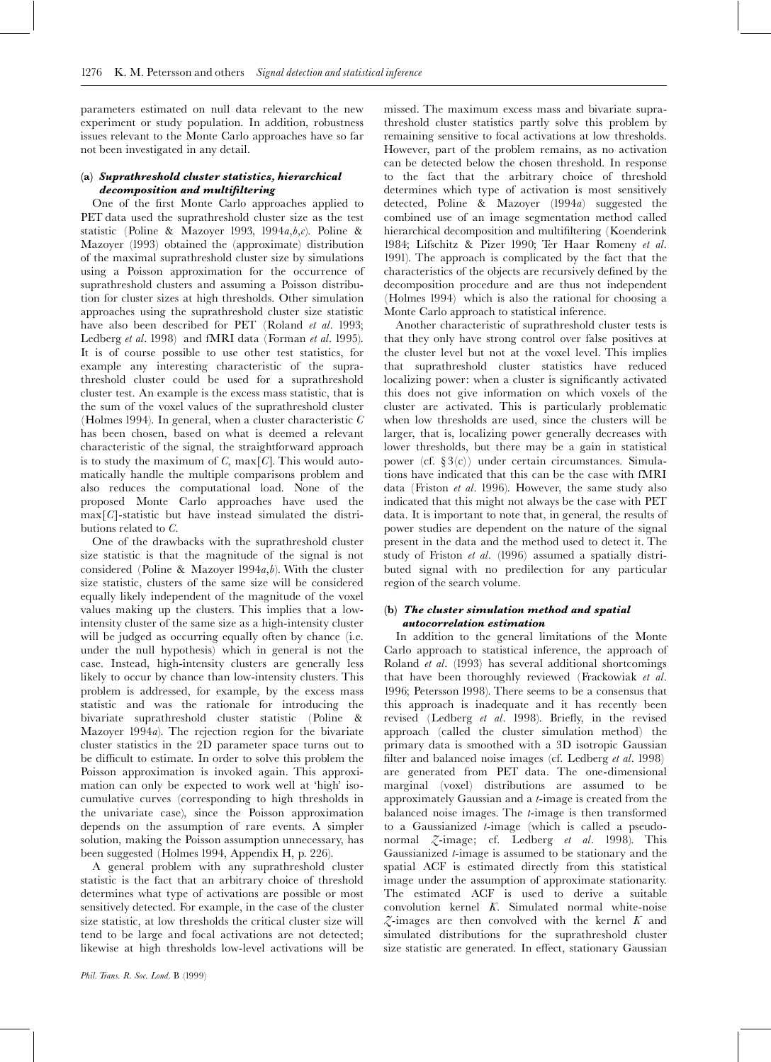parameters estimated on null data relevant to the new experiment or study population. In addition, robustness issues relevant to the Monte Carlo approaches have so far not been investigated in any detail.

# (a) Suprathreshold cluster statistics, hierarchical decomposition and multifiltering

One of the first Monte Carlo approaches applied to PET data used the suprathreshold cluster size as the test statistic (Poline & Mazoyer 1993, 1994a,b,c). Poline & Mazoyer (1993) obtained the (approximate) distribution of the maximal suprathreshold cluster size by simulations using a Poisson approximation for the occurrence of suprathreshold clusters and assuming a Poisson distribution for cluster sizes at high thresholds. Other simulation approaches using the suprathreshold cluster size statistic have also been described for PET (Roland et al. 1993; Ledberg et al. 1998) and fMRI data (Forman et al. 1995). It is of course possible to use other test statistics, for example any interesting characteristic of the suprathreshold cluster could be used for a suprathreshold cluster test. An example is the excess mass statistic, that is the sum of the voxel values of the suprathreshold cluster (Holmes 1994). In general, when a cluster characteristic  $C$ has been chosen, based on what is deemed a relevant characteristic of the signal, the straightforward approach is to study the maximum of  $C$ , max $[C]$ . This would automatically handle the multiple comparisons problem and also reduces the computational load. None of the proposed Monte Carlo approaches have used the  $max[C]$ -statistic but have instead simulated the distributions related to  $C$ .

One of the drawbacks with the suprathreshold cluster size statistic is that the magnitude of the signal is not considered (Poline & Mazoyer 1994 $a,b$ ). With the cluster size statistic, clusters of the same size will be considered equally likely independent of the magnitude of the voxel values making up the clusters. This implies that a lowintensity cluster of the same size as a high-intensity cluster will be judged as occurring equally often by chance (i.e. under the null hypothesis) which in general is not the case. Instead, high-intensity clusters are generally less likely to occur by chance than low-intensity clusters. This problem is addressed, for example, by the excess mass statistic and was the rationale for introducing the bivariate suprathreshold cluster statistic (Poline & Mazoyer 1994a). The rejection region for the bivariate cluster statistics in the 2D parameter space turns out to be difficult to estimate. In order to solve this problem the Poisson approximation is invoked again. This approximation can only be expected to work well at 'high' isocumulative curves (corresponding to high thresholds in the univariate case), since the Poisson approximation depends on the assumption of rare events. A simpler solution, making the Poisson assumption unnecessary, has been suggested (Holmes 1994, Appendix H, p. 226).

A general problem with any suprathreshold cluster statistic is the fact that an arbitrary choice of threshold determines what type of activations are possible or most sensitively detected. For example, in the case of the cluster size statistic, at low thresholds the critical cluster size will tend to be large and focal activations are not detected; likewise at high thresholds low-level activations will be

Phil. Trans. R. Soc. Lond. B (1999)

missed. The maximum excess mass and bivariate suprathreshold cluster statistics partly solve this problem by remaining sensitive to focal activations at low thresholds. However, part of the problem remains, as no activation can be detected below the chosen threshold. In response to the fact that the arbitrary choice of threshold determines which type of activation is most sensitively detected, Poline & Mazoyer (1994a) suggested the combined use of an image segmentation method called hierarchical decomposition and multifiltering (Koenderink 1984; Lifschitz & Pizer 1990; Ter Haar Romeny et al. 1991). The approach is complicated by the fact that the characteristics of the objects are recursively defined by the decomposition procedure and are thus not independent (Holmes 1994) which is also the rational for choosing a Monte Carlo approach to statistical inference.

Another characteristic of suprathreshold cluster tests is that they only have strong control over false positives at the cluster level but not at the voxel level. This implies that suprathreshold cluster statistics have reduced localizing power: when a cluster is significantly activated this does not give information on which voxels of the cluster are activated. This is particularly problematic when low thresholds are used, since the clusters will be larger, that is, localizing power generally decreases with lower thresholds, but there may be a gain in statistical power (cf.  $\S3(c)$ ) under certain circumstances. Simulations have indicated that this can be the case with fMRI data (Friston et al. 1996). However, the same study also indicated that this might not always be the case with PET data. It is important to note that, in general, the results of power studies are dependent on the nature of the signal present in the data and the method used to detect it. The study of Friston et al. (1996) assumed a spatially distributed signal with no predilection for any particular region of the search volume.

# (b) The cluster simulation method and spatial autocorrelation estimation

In addition to the general limitations of the Monte Carlo approach to statistical inference, the approach of Roland et al. (1993) has several additional shortcomings that have been thoroughly reviewed (Frackowiak et al. 1996; Petersson 1998). There seems to be a consensus that this approach is inadequate and it has recently been revised (Ledberg et al. 1998). Briefly, in the revised approach (called the cluster simulation method) the primary data is smoothed with a 3D isotropic Gaussian filter and balanced noise images (cf. Ledberg et al. 1998) are generated from PET data. The one-dimensional marginal (voxel) distributions are assumed to be approximately Gaussian and a  $t$ -image is created from the balanced noise images. The  $t$ -image is then transformed to a Gaussianized  $t$ -image (which is called a pseudonormal Z-image; cf. Ledberg et al. 1998). This Gaussianized *t*-image is assumed to be stationary and the spatial ACF is estimated directly from this statistical image under the assumption of approximate stationarity. The estimated ACF is used to derive a suitable convolution kernel  $K$ . Simulated normal white-noise  $\zeta$ -images are then convolved with the kernel K and simulated distributions for the suprathreshold cluster size statistic are generated. In effect, stationary Gaussian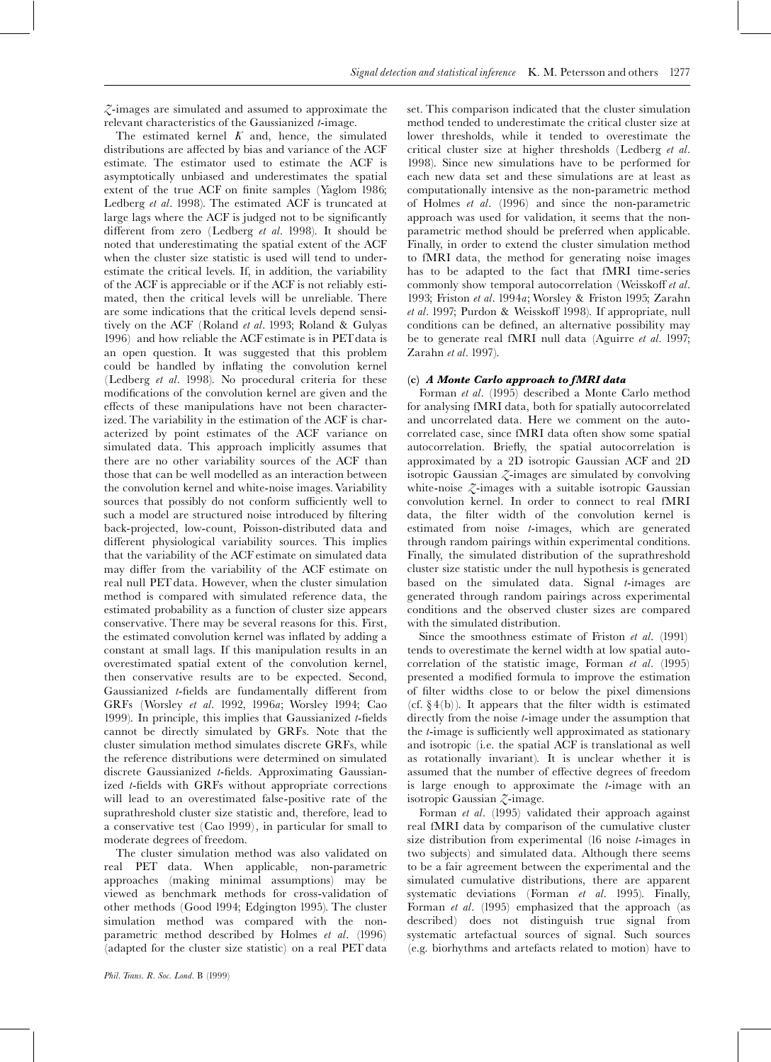$\zeta$ -images are simulated and assumed to approximate the relevant characteristics of the Gaussianized t-image.

The estimated kernel  $K$  and, hence, the simulated distributions are affected by bias and variance of the ACF estimate. The estimator used to estimate the ACF is asymptotically unbiased and underestimates the spatial extent of the true ACF on finite samples (Yaglom 1986; Ledberg et al. 1998). The estimated ACF is truncated at large lags where the ACF is judged not to be significantly different from zero (Ledberg et al. 1998). It should be noted that underestimating the spatial extent of the ACF when the cluster size statistic is used will tend to underestimate the critical levels. If, in addition, the variability of the ACF is appreciable or if the ACF is not reliably estimated, then the critical levels will be unreliable. There are some indications that the critical levels depend sensitively on the ACF (Roland et al. 1993; Roland & Gulyas 1996) and how reliable the ACF estimate is in PET data is an open question. It was suggested that this problem could be handled by inflating the convolution kernel (Ledberg et al. 1998). No procedural criteria for these modifications of the convolution kernel are given and the effects of these manipulations have not been characterized. The variability in the estimation of the ACF is characterized by point estimates of the ACF variance on simulated data. This approach implicitly assumes that there are no other variability sources of the ACF than those that can be well modelled as an interaction between the convolution kernel and white-noise images. Variability sources that possibly do not conform sufficiently well to such a model are structured noise introduced by filtering back-projected, low-count, Poisson-distributed data and different physiological variability sources. This implies that the variability of the ACF estimate on simulated data may differ from the variability of the ACF estimate on real null PET data. However, when the cluster simulation method is compared with simulated reference data, the estimated probability as a function of cluster size appears conservative. There may be several reasons for this. First, the estimated convolution kernel was inflated by adding a constant at small lags. If this manipulation results in an overestimated spatial extent of the convolution kernel, then conservative results are to be expected. Second, Gaussianized t-fields are fundamentally different from GRFs (Worsley et al. 1992, 1996a; Worsley 1994; Cao 1999). In principle, this implies that Gaussianized  $t$ -fields cannot be directly simulated by GRFs. Note that the cluster simulation method simulates discrete GRFs, while the reference distributions were determined on simulated discrete Gaussianized t-fields. Approximating Gaussianized t-fields with GRFs without appropriate corrections will lead to an overestimated false-positive rate of the suprathreshold cluster size statistic and, therefore, lead to a conservative test (Cao 1999), in particular for small to moderate degrees of freedom.

The cluster simulation method was also validated on real PET data. When applicable, non-parametric approaches (making minimal assumptions) may be viewed as benchmark methods for cross-validation of other methods (Good 1994; Edgington 1995). The cluster simulation method was compared with the nonparametric method described by Holmes et al. (1996) (adapted for the cluster size statistic) on a real PET data

set. This comparison indicated that the cluster simulation method tended to underestimate the critical cluster size at lower thresholds, while it tended to overestimate the critical cluster size at higher thresholds (Ledberg et al. 1998). Since new simulations have to be performed for each new data set and these simulations are at least as computationally intensive as the non-parametric method of Holmes et al. (1996) and since the non-parametric approach was used for validation, it seems that the nonparametric method should be preferred when applicable. Finally, in order to extend the cluster simulation method to fMRI data, the method for generating noise images has to be adapted to the fact that fMRI time-series commonly show temporal autocorrelation (Weisskoff et al. 1993; Friston et al. 1994a; Worsley & Friston 1995; Zarahn et al. 1997; Purdon & Weisskoff 1998). If appropriate, null conditions can be defined, an alternative possibility may be to generate real fMRI null data (Aguirre et al. 1997; Zarahn et al. 1997).

#### (c) A Monte Carlo approach to fMRI data

Forman et al. (1995) described a Monte Carlo method for analysing fMRI data, both for spatially autocorrelated and uncorrelated data. Here we comment on the autocorrelated case, since fMRI data often show some spatial autocorrelation. Briefly, the spatial autocorrelation is approximated by a 2D isotropic Gaussian ACF and 2D isotropic Gaussian  $\zeta$ -images are simulated by convolving white-noise  $\zeta$ -images with a suitable isotropic Gaussian convolution kernel. In order to connect to real fMRI data, the filter width of the convolution kernel is estimated from noise *t*-images, which are generated through random pairings within experimental conditions. Finally, the simulated distribution of the suprathreshold cluster size statistic under the null hypothesis is generated based on the simulated data. Signal t-images are generated through random pairings across experimental conditions and the observed cluster sizes are compared with the simulated distribution.

Since the smoothness estimate of Friston et al. (1991) tends to overestimate the kernel width at low spatial autocorrelation of the statistic image, Forman et al. (1995) presented a modified formula to improve the estimation of filter widths close to or below the pixel dimensions (cf.  $\S4(b)$ ). It appears that the filter width is estimated directly from the noise  $t$ -image under the assumption that the *t*-image is sufficiently well approximated as stationary and isotropic (i.e. the spatial ACF is translational as well as rotationally invariant). It is unclear whether it is assumed that the number of effective degrees of freedom is large enough to approximate the  $t$ -image with an isotropic Gaussian Z-image.

Forman et al. (1995) validated their approach against real fMRI data by comparison of the cumulative cluster size distribution from experimental  $(16 \text{ noise } t\text{-images in}$ two subjects) and simulated data. Although there seems to be a fair agreement between the experimental and the simulated cumulative distributions, there are apparent systematic deviations (Forman et al. 1995). Finally, Forman et al. (1995) emphasized that the approach (as described) does not distinguish true signal from systematic artefactual sources of signal. Such sources (e.g. biorhythms and artefacts related to motion) have to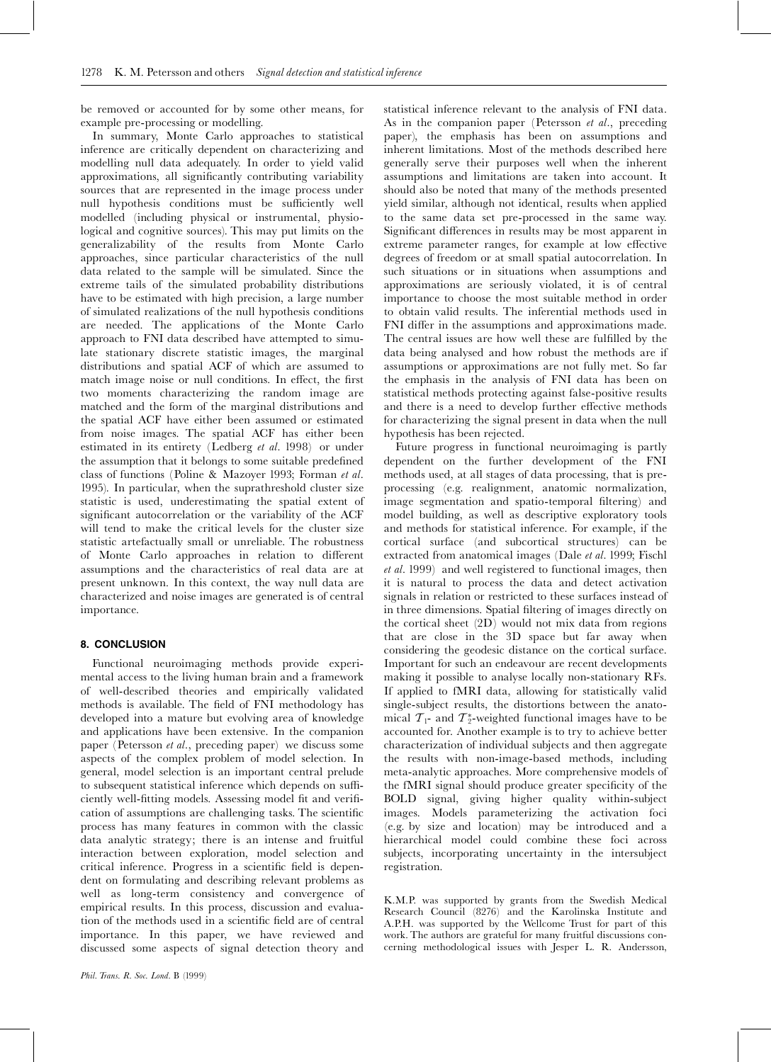be removed or accounted for by some other means, for example pre-processing or modelling.

In summary, Monte Carlo approaches to statistical inference are critically dependent on characterizing and modelling null data adequately. In order to yield valid approximations, all significantly contributing variability sources that are represented in the image process under null hypothesis conditions must be sufficiently well modelled (including physical or instrumental, physiological and cognitive sources). This may put limits on the generalizability of the results from Monte Carlo approaches, since particular characteristics of the null data related to the sample will be simulated. Since the extreme tails of the simulated probability distributions have to be estimated with high precision, a large number of simulated realizations of the null hypothesis conditions are needed. The applications of the Monte Carlo approach to FNI data described have attempted to simulate stationary discrete statistic images, the marginal distributions and spatial ACF of which are assumed to match image noise or null conditions. In effect, the first two moments characterizing the random image are matched and the form of the marginal distributions and the spatial ACF have either been assumed or estimated from noise images. The spatial ACF has either been estimated in its entirety (Ledberg et al. 1998) or under the assumption that it belongs to some suitable predefined class of functions (Poline & Mazover 1993; Forman et al. 1995). In particular, when the suprathreshold cluster size statistic is used, underestimating the spatial extent of significant autocorrelation or the variability of the ACF will tend to make the critical levels for the cluster size statistic artefactually small or unreliable. The robustness of Monte Carlo approaches in relation to different assumptions and the characteristics of real data are at present unknown. In this context, the way null data are characterized and noise images are generated is of central importance.

# 8. CONCLUSION

Functional neuroimaging methods provide experimental access to the living human brain and a framework of well-described theories and empirically validated methods is available. The field of FNI methodology has developed into a mature but evolving area of knowledge and applications have been extensive. In the companion paper (Petersson et al., preceding paper) we discuss some aspects of the complex problem of model selection. In general, model selection is an important central prelude to subsequent statistical inference which depends on sufficiently well-fitting models. Assessing model fit and verification of assumptions are challenging tasks. The scientific process has many features in common with the classic data analytic strategy; there is an intense and fruitful interaction between exploration, model selection and critical inference. Progress in a scientific field is dependent on formulating and describing relevant problems as well as long-term consistency and convergence of empirical results. In this process, discussion and evaluation of the methods used in a scientific field are of central importance. In this paper, we have reviewed and discussed some aspects of signal detection theory and

statistical inference relevant to the analysis of FNI data. As in the companion paper (Petersson *et al.*, preceding paper), the emphasis has been on assumptions and inherent limitations. Most of the methods described here generally serve their purposes well when the inherent assumptions and limitations are taken into account. It should also be noted that many of the methods presented yield similar, although not identical, results when applied to the same data set pre-processed in the same way. Significant differences in results may be most apparent in extreme parameter ranges, for example at low effective degrees of freedom or at small spatial autocorrelation. In such situations or in situations when assumptions and approximations are seriously violated, it is of central importance to choose the most suitable method in order to obtain valid results. The inferential methods used in FNI differ in the assumptions and approximations made. The central issues are how well these are fulfilled by the data being analysed and how robust the methods are if assumptions or approximations are not fully met. So far the emphasis in the analysis of FNI data has been on statistical methods protecting against false-positive results and there is a need to develop further effective methods for characterizing the signal present in data when the null hypothesis has been rejected.

Future progress in functional neuroimaging is partly dependent on the further development of the FNI methods used, at all stages of data processing, that is preprocessing (e.g. realignment, anatomic normalization, image segmentation and spatio-temporal filtering) and model building, as well as descriptive exploratory tools and methods for statistical inference. For example, if the cortical surface (and subcortical structures) can be extracted from anatomical images (Dale et al. 1999; Fischl et al. 1999) and well registered to functional images, then it is natural to process the data and detect activation signals in relation or restricted to these surfaces instead of in three dimensions. Spatial filtering of images directly on the cortical sheet  $(2D)$  would not mix data from regions that are close in the 3D space but far away when considering the geodesic distance on the cortical surface. Important for such an endeavour are recent developments making it possible to analyse locally non-stationary RFs. If applied to fMRI data, allowing for statistically valid single-subject results, the distortions between the anatomical  $\mathcal{T}_1$ - and  $\mathcal{T}_2^*$ -weighted functional images have to be accounted for. Another example is to try to achieve better characterization of individual subjects and then aggregate the results with non-image-based methods, including meta-analytic approaches. More comprehensive models of the fMRI signal should produce greater specificity of the BOLD signal, giving higher quality within-subject images. Models parameterizing the activation foci (e.g. by size and location) may be introduced and a hierarchical model could combine these foci across subjects, incorporating uncertainty in the intersubject registration.

K.M.P. was supported by grants from the Swedish Medical Research Council (8276) and the Karolinska Institute and A.P.H. was supported by the Wellcome Trust for part of this work. The authors are grateful for many fruitful discussions concerning methodological issues with Jesper L. R. Andersson,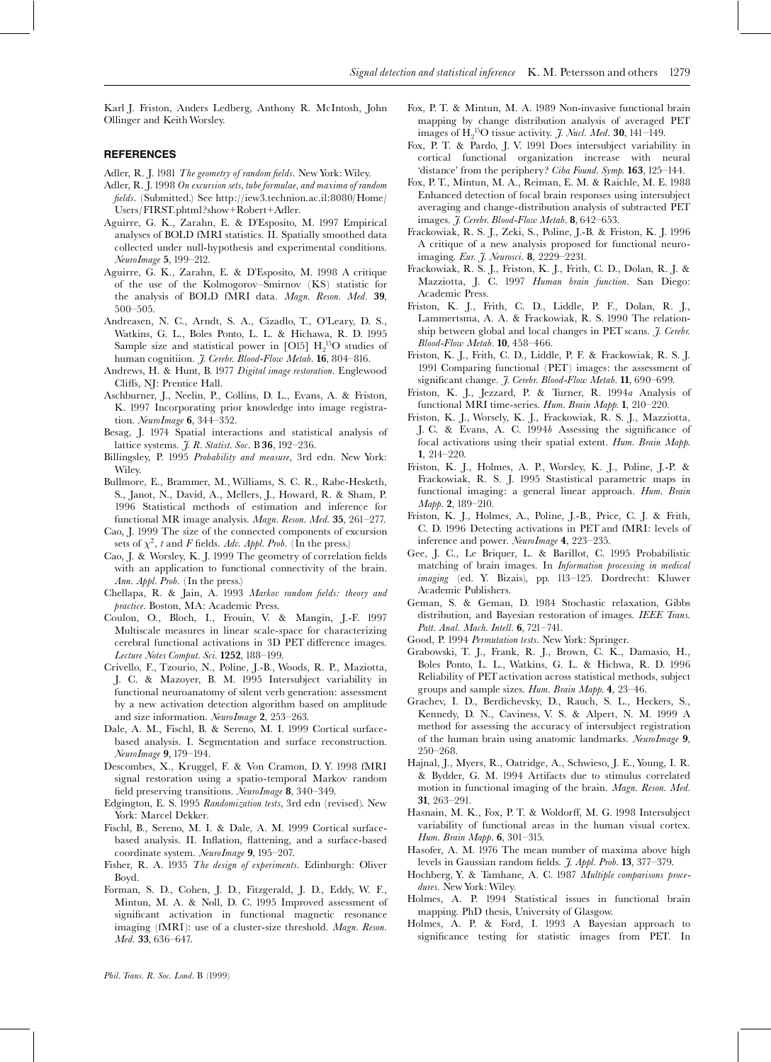Karl J. Friston, Anders Ledberg, Anthony R. McIntosh, John Ollinger and Keith Worsley.

#### **REFERENCES**

- Adler, R. J. 1981 The geometry of random fields. New York: Wiley.
- Adler, R. J. 1998 On excursion sets, tube formulae, and maxima of random fields. (Submitted.) See http://iew3.technion.ac.il:8080/Home/ Users/FIRST.phtml?show+Robert+Adler.
- Aguirre, G. K., Zarahn, E. & D'Esposito, M. 1997 Empirical analyses of BOLD fMRI statistics. II. Spatially smoothed data collected under null-hypothesis and experimental conditions. NeuroImage 5, 199-212.
- Aguirre, G. K., Zarahn, E. & D'Esposito, M. 1998 A critique of the use of the Kolmogorov-Smirnov (KS) statistic for the analysis of BOLD fMRI data. Magn. Reson. Med. 39,  $500 - 505$ .
- Andreasen, N. C., Arndt, S. A., Cizadlo, T., O'Leary, D. S., Watkins, G. L., Boles Ponto, L. L. & Hichawa, R. D. 1995 Sample size and statistical power in [O15]  $H_2^{15}O$  studies of human cognitiion. 7. Cerebr. Blood-Flow Metab. 16, 804-816.
- Andrews, H. & Hunt, B. 1977 Digital image restoration. Englewood Cliffs, NJ: Prentice Hall.
- Aschburner, J., Neelin, P., Collins, D. L., Evans, A. & Friston, K. 1997 Incorporating prior knowledge into image registration. NeuroImage 6, 344-352.
- Besag, J. 1974 Spatial interactions and statistical analysis of lattice systems. J. R. Statist. Soc. B 36, 192-236.
- Billingsley, P. 1995 Probability and measure, 3rd edn. New York: Wiley.
- Bullmore, E., Brammer, M., Williams, S. C. R., Rabe-Hesketh, S., Janot, N., David, A., Mellers, J., Howard, R. & Sham, P. 1996 Statistical methods of estimation and inference for functional MR image analysis. Magn. Reson. Med. 35, 261-277.
- Cao, J. 1999 The size of the connected components of excursion sets of  $\chi^2$ , t and F fields. Adv. Appl. Prob. (In the press.)
- Cao, J. & Worsley, K. J. 1999 The geometry of correlation fields with an application to functional connectivity of the brain. Ann. Appl. Prob. (In the press.)
- Chellapa, R. & Jain, A. 1993 Markov random fields: theory and practice. Boston, MA: Academic Press.
- Coulon, O., Bloch, I., Frouin, V. & Mangin, J.-F. 1997 Multiscale measures in linear scale-space for characterizing cerebral functional activations in 3D PET difference images. Lecture Notes Comput. Sci. 1252, 188-199.
- Crivello, F., Tzourio, N., Poline, J.-B., Woods, R. P., Maziotta, J. C. & Mazoyer, B. M. 1995 Intersubject variability in functional neuroanatomy of silent verb generation: assessment by a new activation detection algorithm based on amplitude and size information. NeuroImage 2, 253-263.
- Dale, A. M., Fischl, B. & Sereno, M. I. 1999 Cortical surfacebased analysis. I. Segmentation and surface reconstruction. NeuroImage 9, 179-194.
- Descombes, X., Kruggel, F. & Von Cramon, D. Y. 1998 fMRI signal restoration using a spatio-temporal Markov random field preserving transitions. NeuroImage 8, 340-349.
- Edgington, E. S. 1995 Randomization tests, 3rd edn (revised). New York: Marcel Dekker.
- Fischl, B., Sereno, M. I. & Dale, A. M. 1999 Cortical surfacebased analysis. II. Inflation, flattening, and a surface-based coordinate system. NeuroImage 9, 195-207.
- Fisher, R. A. 1935 The design of experiments. Edinburgh: Oliver Boyd.
- Forman, S. D., Cohen, J. D., Fitzgerald, J. D., Eddy, W. F., Mintun, M. A. & Noll, D. C. 1995 Improved assessment of significant activation in functional magnetic resonance imaging (fMRI): use of a cluster-size threshold. Magn. Reson. Med. 33, 636-647.
- Fox, P. T. & Mintun, M. A. 1989 Non-invasive functional brain mapping by change distribution analysis of averaged PET images of  $H_2^{15}O$  tissue activity. *J. Nucl. Med.* **30**, 141-149.
- Fox, P. T. & Pardo, J. V. 1991 Does intersubject variability in cortical functional organization increase with neural 'distance' from the periphery? Ciba Found. Symp. 163, 125-144.
- Fox, P. T., Mintun, M. A., Reiman, E. M. & Raichle, M. E. 1988 Enhanced detection of focal brain responses using intersubject averaging and change-distribution analysis of subtracted PET images. J. Cerebr. Blood-Flow Metab. 8, 642-653.
- Frackowiak, R. S. J., Zeki, S., Poline, J.-B. & Friston, K. J. 1996 A critique of a new analysis proposed for functional neuroimaging. Eur. J. Neurosci. 8, 2229-2231.
- Frackowiak, R. S. J., Friston, K. J., Frith, C. D., Dolan, R. J. & Mazziotta, J. C. 1997 Human brain function. San Diego: Academic Press.
- Friston, K. J., Frith, C. D., Liddle, P. F., Dolan, R. J., Lammertsma, A. A. & Frackowiak, R. S. 1990 The relationship between global and local changes in PET scans. J. Cerebr.  $B$ lood-Flow Metab.  $10, 458 - 466$ .
- Friston, K. J., Frith, C. D., Liddle, P. F. & Frackowiak, R. S. J. 1991 Comparing functional (PET) images: the assessment of significant change. J. Cerebr. Blood-Flow Metab. 11, 690-699.
- Friston, K. J., Jezzard, P. & Turner, R. 1994a Analysis of functional MRI time-series. Hum. Brain Mapp. 1, 210-220.
- Friston, K. J., Worsely, K. J., Frackowiak, R. S. J., Mazziotta, J. C. & Evans, A. C. 1994b Assessing the significance of focal activations using their spatial extent. Hum. Brain Mapp. 1.  $214 - 220$ .
- Friston, K. J., Holmes, A. P., Worsley, K. J., Poline, J.-P. & Frackowiak, R. S. J. 1995 Stastistical parametric maps in functional imaging: a general linear approach. Hum. Brain Mapp. 2. 189-210.
- Friston, K. J., Holmes, A., Poline, J.-B., Price, C. J. & Frith, C. D. 1996 Detecting activations in PET and fMRI: levels of inference and power. NeuroImage 4, 223-235.
- Gee, J. C., Le Briquer, L. & Barillot, C. 1995 Probabilistic matching of brain images. In Information processing in medical imaging (ed. Y. Bizais), pp. 113-125. Dordrecht: Kluwer Academic Publishers.
- Geman, S. & Geman, D. 1984 Stochastic relaxation, Gibbs distribution, and Bayesian restoration of images. IEEE Trans. Patt. Anal. Mach. Intell. 6, 721-741.
- Good, P. 1994 Permutation tests. New York: Springer.
- Grabowski, T. J., Frank, R. J., Brown, C. K., Damasio, H., Boles Ponto, L. L., Watkins, G. L. & Hichwa, R. D. 1996 Reliability of PET activation across statistical methods, subject groups and sample sizes. Hum. Brain Mapp. 4, 23-46.
- Grachev, I. D., Berdichevsky, D., Rauch, S. L., Heckers, S., Kennedy, D. N., Caviness, V. S. & Alpert, N. M. 1999 A. method for assessing the accuracy of intersubject registration of the human brain using anatomic landmarks. NeuroImage 9,  $250 - 268$
- Hajnal, J., Myers, R., Oatridge, A., Schwieso, J. E., Young, I. R. & Bydder, G. M. 1994 Artifacts due to stimulus correlated motion in functional imaging of the brain. Magn. Reson. Med. 31, 263-291.
- Hasnain, M. K., Fox, P. T. & Woldorff, M. G. 1998 Intersubject variability of functional areas in the human visual cortex. Hum. Brain Mapp. 6, 301-315.
- Hasofer, A. M. 1976 The mean number of maxima above high levels in Gaussian random fields. *J. Appl. Prob.* 13, 377-379.
- Hochberg, Y. & Tamhane, A. C. 1987 Multiple comparisons proce*dures.* New York: Wiley.
- Holmes, A. P. 1994 Statistical issues in functional brain mapping. PhD thesis, University of Glasgow.
- Holmes, A. P. & Ford, I. 1993 A Bayesian approach to significance testing for statistic images from PET. In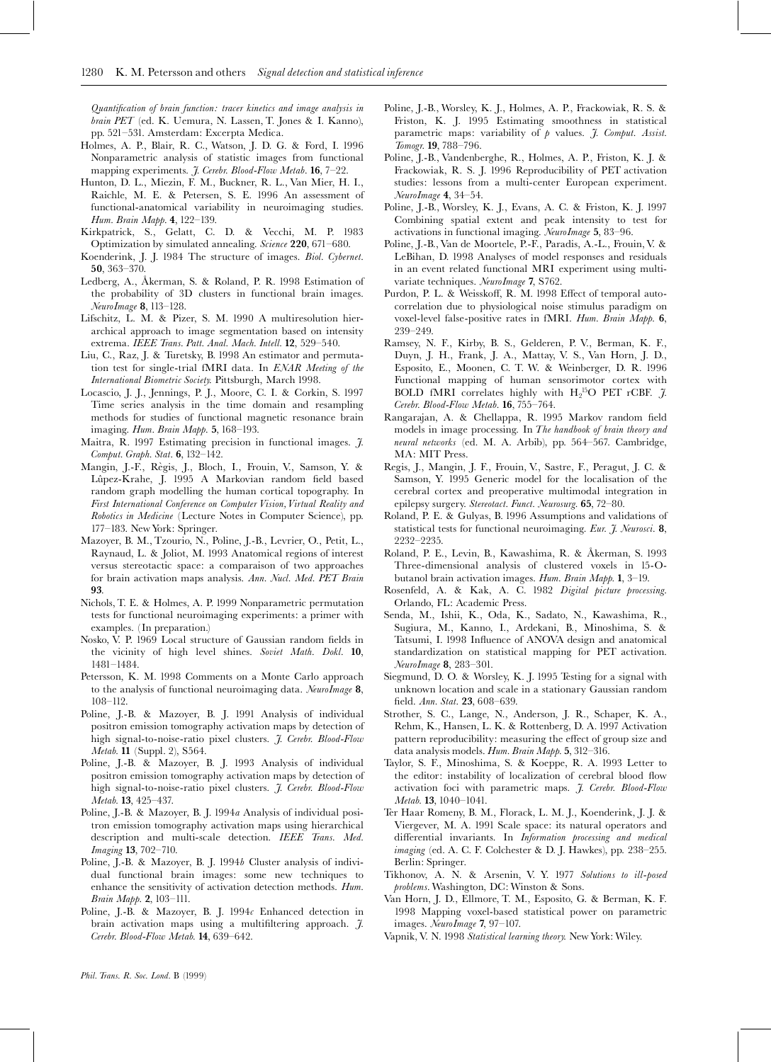Quantification of brain function: tracer kinetics and image analysis in *brain PET* (ed. K. Uemura, N. Lassen, T. Jones & I. Kanno), pp. 521-531. Amsterdam: Excerpta Medica.

- Holmes, A. P., Blair, R. C., Watson, J. D. G. & Ford, I. 1996 Nonparametric analysis of statistic images from functional mapping experiments. J. Cerebr. Blood-Flow Metab. 16, 7-22.
- Hunton, D. L., Miezin, F. M., Buckner, R. L., Van Mier, H. I., Raichle, M. E. & Petersen, S. E. 1996 An assessment of functional-anatomical variability in neuroimaging studies. Hum. Brain Mapp. 4, 122-139.
- Kirkpatrick, S., Gelatt, C. D. & Vecchi, M. P. 1983 Optimization by simulated annealing. Science 220, 671-680.
- Koenderink, J. J. 1984 The structure of images. Biol. Cybernet.  $50, 363 - 370.$
- Ledberg, A., Åkerman, S. & Roland, P. R. 1998 Estimation of the probability of 3D clusters in functional brain images NeuroImage 8, 113-128.
- Lifschitz, L. M. & Pizer, S. M. 1990 A multiresolution hierarchical approach to image segmentation based on intensity extrema. IEEE Trans. Patt. Anal. Mach. Intell. 12, 529-540.
- Liu, C., Raz, J. & Turetsky, B. 1998 An estimator and permutation test for single-trial fMRI data. In ENAR Meeting of the International Biometric Society. Pittsburgh, March 1998.
- Locascio, J. J., Jennings, P. J., Moore, C. I. & Corkin, S. 1997 Time series analysis in the time domain and resampling methods for studies of functional magnetic resonance brain imaging. Hum. Brain Mapp. 5, 168-193.
- Maitra, R. 1997 Estimating precision in functional images. J. Comput. Graph. Stat. 6, 132-142.
- Mangin, J.-F., Règis, J., Bloch, I., Frouin, V., Samson, Y. & Lûpez-Krahe, J. 1995 A Markovian random field based random graph modelling the human cortical topography. In First International Conference on Computer Vision, Virtual Reality and Robotics in Medicine (Lecture Notes in Computer Science), pp. 177-183. New York: Springer.
- Mazoyer, B. M., Tzourio, N., Poline, J.-B., Levrier, O., Petit, L., Raynaud, L. & Joliot, M. 1993 Anatomical regions of interest versus stereotactic space: a comparaison of two approaches for brain activation maps analysis. Ann. Nucl. Med. PET Brain 93
- Nichols, T. E. & Holmes, A. P. 1999 Nonparametric permutation tests for functional neuroimaging experiments: a primer with examples. (In preparation.)
- Nosko, V. P. 1969 Local structure of Gaussian random fields in the vicinity of high level shines. Soviet Math. Dokl. 10,  $1481 - 1484.$
- Petersson, K. M. 1998 Comments on a Monte Carlo approach to the analysis of functional neuroimaging data. NeuroImage 8,  $108 - 112$
- Poline, J.-B. & Mazoyer, B. J. 1991 Analysis of individual positron emission tomography activation maps by detection of high signal-to-noise-ratio pixel clusters. J. Cerebr. Blood-Flow Metab. 11 (Suppl. 2), S564.
- Poline, J.-B. & Mazoyer, B. J. 1993 Analysis of individual positron emission tomography activation maps by detection of high signal-to-noise-ratio pixel clusters. *J. Cerebr. Blood-Flow* Metab. 13, 425-437.
- Poline, J.-B. & Mazoyer, B. J. 1994a Analysis of individual positron emission tomography activation maps using hierarchical description and multi-scale detection. IEEE Trans. Med. Imaging 13, 702-710.
- Poline, J.-B. & Mazoyer, B. J. 1994b Cluster analysis of individual functional brain images: some new techniques to enhance the sensitivity of activation detection methods. Hum. Brain Mapp. 2, 103-111.
- Poline, J.-B. & Mazoyer, B. J. 1994 $\epsilon$  Enhanced detection in brain activation maps using a multifiltering approach.  $\tilde{J}$ . Cerebr. Blood-Flow Metab. 14, 639-642.
- Poline, J.-B., Worsley, K. J., Holmes, A. P., Frackowiak, R. S. & Friston, K. J. 1995 Estimating smoothness in statistical parametric maps: variability of  $p$  values.  $\tilde{J}$ . Comput. Assist. Tomogr. 19, 788-796.
- Poline, J.-B., Vandenberghe, R., Holmes, A. P., Friston, K. J. & Frackowiak, R. S. J. 1996 Reproducibility of PET activation studies: lessons from a multi-center European experiment. NeuroImage 4, 34-54.
- Poline, J.-B., Worsley, K. J., Evans, A. C. & Friston, K. J. 1997 Combining spatial extent and peak intensity to test for activations in functional imaging. NeuroImage 5, 83-96.
- Poline, J.-B., Van de Moortele, P.-F., Paradis, A.-L., Frouin, V. & LeBihan, D. 1998 Analyses of model responses and residuals in an event related functional MRI experiment using multivariate techniques. NeuroImage 7, S762.
- Purdon, P. L. & Weisskoff, R. M. 1998 Effect of temporal autocorrelation due to physiological noise stimulus paradigm on voxel-level false-positive rates in fMRI. Hum. Brain Mapp. 6, 239-249.
- Ramsey, N. F., Kirby, B. S., Gelderen, P. V., Berman, K. F., Duyn, J. H., Frank, J. A., Mattay, V. S., Van Horn, J. D., Esposito, E., Moonen, C. T. W. & Weinberger, D. R. 1996 Functional mapping of human sensorimotor cortex with BOLD fMRI correlates highly with  $H_2^{15}O$  PET rCBF.  $\tilde{J}$ . Cerebr. Blood-Flow Metab. 16, 755-764.
- Rangarajan, A. & Chellappa, R. 1995 Markov random field models in image processing. In The handbook of brain theory and neural networks (ed. M. A. Arbib), pp. 564-567. Cambridge, MA: MIT Press.
- Regis, J., Mangin, J. F., Frouin, V., Sastre, F., Peragut, J. C. & Samson, Y. 1995 Generic model for the localisation of the cerebral cortex and preoperative multimodal integration in epilepsy surgery. Stereotact. Funct. Neurosurg. 65, 72-80.
- Roland, P. E. & Gulyas, B. 1996 Assumptions and validations of statistical tests for functional neuroimaging. Eur.  $\tilde{f}$ . Neurosci. 8, 2232-2235.
- Roland, P. E., Levin, B., Kawashima, R. & Åkerman, S. 1993 Three-dimensional analysis of clustered voxels in 15-Obutanol brain activation images. Hum. Brain Mapp. 1, 3-19.
- Rosenfeld, A. & Kak, A. C. 1982 Digital picture processing. Orlando, FL: Academic Press.
- Senda, M., Ishii, K., Oda, K., Sadato, N., Kawashima, R., Sugiura, M., Kanno, I., Ardekani, B., Minoshima, S. & Tatsumi, I. 1998 Influence of ANOVA design and anatomical standardization on statistical mapping for PET activation.  $NeuroImage$  8, 283-301.
- Siegmund, D. O. & Worsley, K. J. 1995 Testing for a signal with unknown location and scale in a stationary Gaussian random field. Ann. Stat. 23, 608-639.
- Strother, S. C., Lange, N., Anderson, J. R., Schaper, K. A., Rehm, K., Hansen, L. K. & Rottenberg, D. A. 1997 Activation pattern reproducibility: measuring the effect of group size and data analysis models. Hum. Brain Mapp. 5, 312-316.
- Taylor, S. F., Minoshima, S. & Koeppe, R. A. 1993 Letter to the editor: instability of localization of cerebral blood flow activation foci with parametric maps. J. Cerebr. Blood-Flow Metab. 13, 1040-1041.
- Ter Haar Romeny, B. M., Florack, L. M. J., Koenderink, J. J. & Viergever, M. A. 1991 Scale space: its natural operators and differential invariants. In Information processing and medical imaging (ed. A. C. F. Colchester & D. J. Hawkes), pp. 238-255. Berlin: Springer.
- Tikhonov, A. N. & Arsenin, V. Y. 1977 Solutions to ill-posed problems. Washington, DC: Winston & Sons.
- Van Horn, J. D., Ellmore, T. M., Esposito, G. & Berman, K. F. 1998 Mapping voxel-based statistical power on parametric images. NeuroImage 7, 97-107.
- Vapnik, V. N. 1998 Statistical learning theory. New York: Wiley.